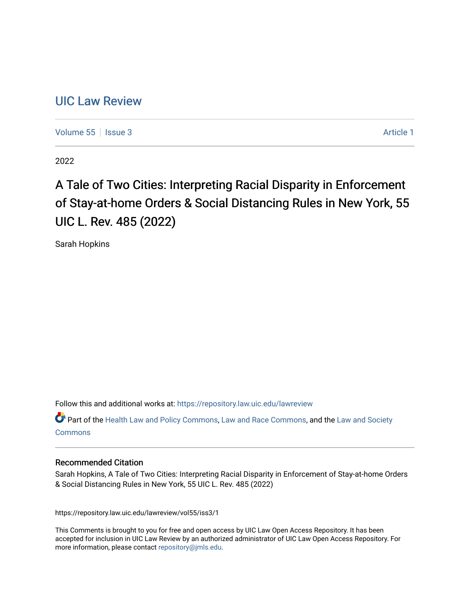# [UIC Law Review](https://repository.law.uic.edu/lawreview)

[Volume 55](https://repository.law.uic.edu/lawreview/vol55) | [Issue 3](https://repository.law.uic.edu/lawreview/vol55/iss3) Article 1

2022

# A Tale of Two Cities: Interpreting Racial Disparity in Enforcement of Stay-at-home Orders & Social Distancing Rules in New York, 55 UIC L. Rev. 485 (2022)

Sarah Hopkins

Follow this and additional works at: [https://repository.law.uic.edu/lawreview](https://repository.law.uic.edu/lawreview?utm_source=repository.law.uic.edu%2Flawreview%2Fvol55%2Fiss3%2F1&utm_medium=PDF&utm_campaign=PDFCoverPages) 

Part of the [Health Law and Policy Commons](https://network.bepress.com/hgg/discipline/901?utm_source=repository.law.uic.edu%2Flawreview%2Fvol55%2Fiss3%2F1&utm_medium=PDF&utm_campaign=PDFCoverPages), [Law and Race Commons](https://network.bepress.com/hgg/discipline/1300?utm_source=repository.law.uic.edu%2Flawreview%2Fvol55%2Fiss3%2F1&utm_medium=PDF&utm_campaign=PDFCoverPages), and the [Law and Society](https://network.bepress.com/hgg/discipline/853?utm_source=repository.law.uic.edu%2Flawreview%2Fvol55%2Fiss3%2F1&utm_medium=PDF&utm_campaign=PDFCoverPages)  [Commons](https://network.bepress.com/hgg/discipline/853?utm_source=repository.law.uic.edu%2Flawreview%2Fvol55%2Fiss3%2F1&utm_medium=PDF&utm_campaign=PDFCoverPages)

## Recommended Citation

Sarah Hopkins, A Tale of Two Cities: Interpreting Racial Disparity in Enforcement of Stay-at-home Orders & Social Distancing Rules in New York, 55 UIC L. Rev. 485 (2022)

https://repository.law.uic.edu/lawreview/vol55/iss3/1

This Comments is brought to you for free and open access by UIC Law Open Access Repository. It has been accepted for inclusion in UIC Law Review by an authorized administrator of UIC Law Open Access Repository. For more information, please contact [repository@jmls.edu.](mailto:repository@jmls.edu)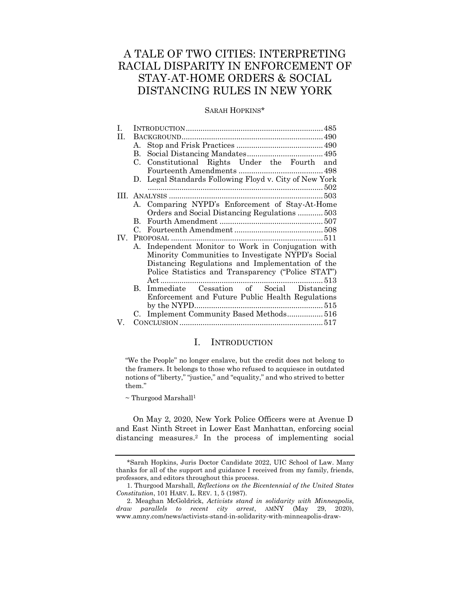# A TALE OF TWO CITIES: INTERPRETING RACIAL DISPARITY IN ENFORCEMENT OF STAY-AT-HOME ORDERS & SOCIAL DISTANCING RULES IN NEW YORK

## SARAH HOPKINS\*

| А.             |                                                     |
|----------------|-----------------------------------------------------|
| В.             |                                                     |
|                | C. Constitutional Rights Under the Fourth and       |
|                |                                                     |
| $D_{\rm{eff}}$ | Legal Standards Following Floyd v. City of New York |
|                |                                                     |
|                |                                                     |
|                | A. Comparing NYPD's Enforcement of Stay-At-Home     |
|                | Orders and Social Distancing Regulations 503        |
|                |                                                     |
|                |                                                     |
| IV.            |                                                     |
|                | A. Independent Monitor to Work in Conjugation with  |
|                | Minority Communities to Investigate NYPD's Social   |
|                | Distancing Regulations and Implementation of the    |
|                | Police Statistics and Transparency ("Police STAT")  |
|                |                                                     |
| $\mathbf{B}$   | Immediate Cessation of Social Distancing            |
|                | Enforcement and Future Public Health Regulations    |
|                |                                                     |
|                | C. Implement Community Based Methods 516            |
|                |                                                     |
|                |                                                     |

# I. INTRODUCTION

<span id="page-1-0"></span>"We the People" no longer enslave, but the credit does not belong to the framers. It belongs to those who refused to acquiesce in outdated notions of "liberty," "justice," and "equality," and who strived to better them."

 $\sim$  Thurgood Marshall<sup>1</sup>

On May 2, 2020, New York Police Officers were at Avenue D and East Ninth Street in Lower East Manhattan, enforcing social distancing measures.<sup>2</sup> In the process of implementing social

<sup>\*</sup>Sarah Hopkins, Juris Doctor Candidate 2022, UIC School of Law. Many thanks for all of the support and guidance I received from my family, friends, professors, and editors throughout this process.

<sup>1.</sup> Thurgood Marshall, *Reflections on the Bicentennial of the United States Constitution*, 101 HARV. L. REV. 1, 5 (1987).

<sup>2.</sup> Meaghan McGoldrick, *Activists stand in solidarity with Minneapolis, draw parallels to recent city arrest*, AMNY (May 29, 2020), www.amny.com/news/activists-stand-in-solidarity-with-minneapolis-draw-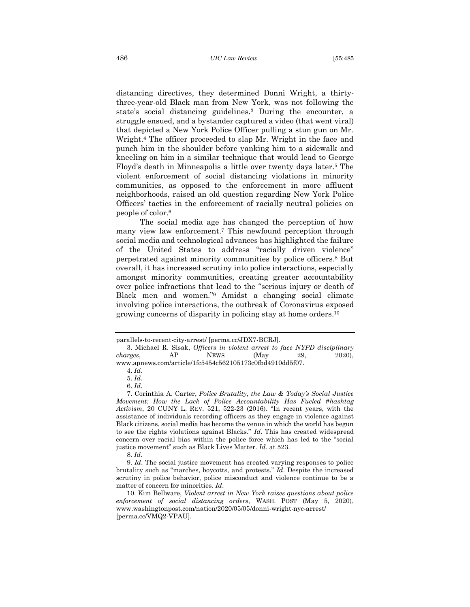distancing directives, they determined Donni Wright, a thirtythree-year-old Black man from New York, was not following the state's social distancing guidelines.<sup>3</sup> During the encounter, a struggle ensued, and a bystander captured a video (that went viral) that depicted a New York Police Officer pulling a stun gun on Mr. Wright.<sup>4</sup> The officer proceeded to slap Mr. Wright in the face and punch him in the shoulder before yanking him to a sidewalk and kneeling on him in a similar technique that would lead to George Floyd's death in Minneapolis a little over twenty days later.<sup>5</sup> The violent enforcement of social distancing violations in minority communities, as opposed to the enforcement in more affluent neighborhoods, raised an old question regarding New York Police Officers' tactics in the enforcement of racially neutral policies on people of color.<sup>6</sup>

The social media age has changed the perception of how many view law enforcement.<sup>7</sup> This newfound perception through social media and technological advances has highlighted the failure of the United States to address "racially driven violence" perpetrated against minority communities by police officers. <sup>8</sup> But overall, it has increased scrutiny into police interactions, especially amongst minority communities, creating greater accountability over police infractions that lead to the "serious injury or death of Black men and women."<sup>9</sup> Amidst a changing social climate involving police interactions, the outbreak of Coronavirus exposed growing concerns of disparity in policing stay at home orders.<sup>10</sup>

parallels-to-recent-city-arrest/ [perma.cc/JDX7-BCRJ].

<sup>3.</sup> Michael R. Sisak, *Officers in violent arrest to face NYPD disciplinary charges*, AP NEWS (May 29, 2020), www.apnews.com/article/1fc5454c562105173c0fbd4910dd5f07.

<sup>4.</sup> *Id.* 

<sup>5.</sup> *Id.* 

<sup>6.</sup> *Id*.

<sup>7.</sup> Corinthia A. Carter, *Police Brutality, the Law & Today's Social Justice Movement: How the Lack of Police Accountability Has Fueled #hashtag Activism*, 20 CUNY L. REV. 521, 522-23 (2016). "In recent years, with the assistance of individuals recording officers as they engage in violence against Black citizens, social media has become the venue in which the world has begun to see the rights violations against Blacks." *Id*. This has created widespread concern over racial bias within the police force which has led to the "social justice movement" such as Black Lives Matter. *Id*. at 523.

<sup>8.</sup> *Id*.

<sup>9.</sup> *Id*. The social justice movement has created varying responses to police brutality such as "marches, boycotts, and protests." *Id*. Despite the increased scrutiny in police behavior, police misconduct and violence continue to be a matter of concern for minorities. *Id*.

<sup>10.</sup> Kim Bellware, *Violent arrest in New York raises questions about police enforcement of social distancing orders*, WASH. POST (May 5, 2020), www.washingtonpost.com/nation/2020/05/05/donni-wright-nyc-arrest/ [perma.cc/VMQ2-VPAU].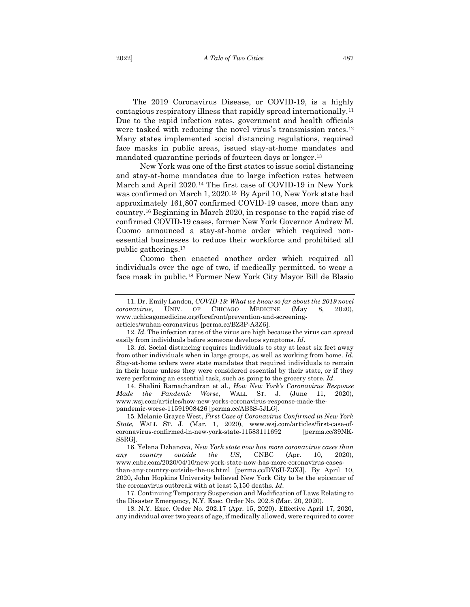The 2019 Coronavirus Disease, or COVID-19, is a highly contagious respiratory illness that rapidly spread internationally.<sup>11</sup> Due to the rapid infection rates, government and health officials were tasked with reducing the novel virus's transmission rates.<sup>12</sup> Many states implemented social distancing regulations, required face masks in public areas, issued stay-at-home mandates and mandated quarantine periods of fourteen days or longer.<sup>13</sup>

New York was one of the first states to issue social distancing and stay-at-home mandates due to large infection rates between March and April 2020.<sup>14</sup> The first case of COVID-19 in New York was confirmed on March 1, 2020.15 By April 10, New York state had approximately 161,807 confirmed COVID-19 cases, more than any country.<sup>16</sup> Beginning in March 2020, in response to the rapid rise of confirmed COVID-19 cases, former New York Governor Andrew M. Cuomo announced a stay-at-home order which required nonessential businesses to reduce their workforce and prohibited all public gatherings.<sup>17</sup>

Cuomo then enacted another order which required all individuals over the age of two, if medically permitted, to wear a face mask in public.<sup>18</sup> Former New York City Mayor Bill de Blasio

12. *Id*. The infection rates of the virus are high because the virus can spread easily from individuals before someone develops symptoms. *Id*.

14. Shalini Ramachandran et al., *How New York's Coronavirus Response Made the Pandemic Worse*, WALL ST. J. (June 11, 2020), www.wsj.com/articles/how-new-yorks-coronavirus-response-made-thepandemic-worse-11591908426 [perma.cc/AB3S-5JLG].

15. Melanie Grayce West, *First Case of Coronavirus Confirmed in New York State*, WALL ST. J. (Mar. 1, 2020), www.wsj.com/articles/first-case-ofcoronavirus-confirmed-in-new-york-state-11583111692 [perma.cc/39NK-S8RG].

16. Yelena Dzhanova, *New York state now has more coronavirus cases than any country outside the US*, CNBC (Apr. 10, 2020), www.cnbc.com/2020/04/10/new-york-state-now-has-more-coronavirus-casesthan-any-country-outside-the-us.html [perma.cc/DV6U-Z3XJ]. By April 10, 2020, John Hopkins University believed New York City to be the epicenter of the coronavirus outbreak with at least 5,150 deaths. *Id*.

17. Continuing Temporary Suspension and Modification of Laws Relating to the Disaster Emergency, N.Y. Exec. Order No. 202.8 (Mar. 20, 2020).

18. N.Y. Exec. Order No. 202.17 (Apr. 15, 2020). Effective April 17, 2020, any individual over two years of age, if medically allowed, were required to cover

<sup>11.</sup> Dr. Emily Landon, *COVID-19: What we know so far about the 2019 novel coronavirus*, UNIV. OF CHICAGO MEDICINE (May 8, 2020), www.uchicagomedicine.org/forefront/prevention-and-screeningarticles/wuhan-coronavirus [perma.cc/BZ3P-A3Z6].

<sup>13.</sup> *Id*. Social distancing requires individuals to stay at least six feet away from other individuals when in large groups, as well as working from home. *Id*. Stay-at-home orders were state mandates that required individuals to remain in their home unless they were considered essential by their state, or if they were performing an essential task, such as going to the grocery store. *Id*.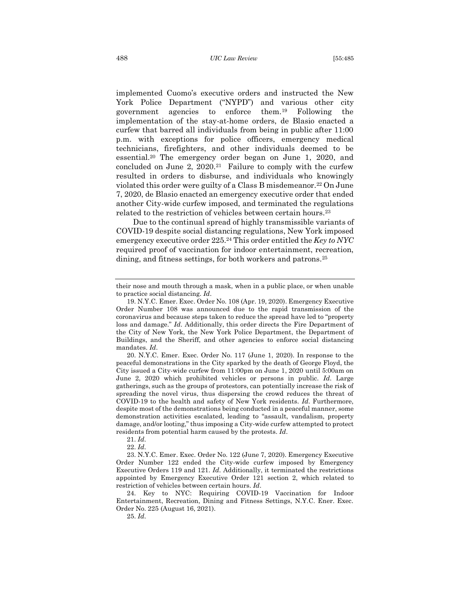implemented Cuomo's executive orders and instructed the New York Police Department ("NYPD") and various other city government agencies to enforce them.<sup>19</sup> Following the implementation of the stay-at-home orders, de Blasio enacted a curfew that barred all individuals from being in public after 11:00 p.m. with exceptions for police officers, emergency medical technicians, firefighters, and other individuals deemed to be essential.<sup>20</sup> The emergency order began on June 1, 2020, and concluded on June 2, 2020.21 Failure to comply with the curfew resulted in orders to disburse, and individuals who knowingly violated this order were guilty of a Class B misdemeanor.<sup>22</sup> On June 7, 2020, de Blasio enacted an emergency executive order that ended another City-wide curfew imposed, and terminated the regulations related to the restriction of vehicles between certain hours.<sup>23</sup>

Due to the continual spread of highly transmissible variants of COVID-19 despite social distancing regulations, New York imposed emergency executive order 225.<sup>24</sup> This order entitled the *Key to NYC* required proof of vaccination for indoor entertainment, recreation, dining, and fitness settings, for both workers and patrons.<sup>25</sup>

20. N.Y.C. Emer. Exec. Order No. 117 (June 1, 2020). In response to the peaceful demonstrations in the City sparked by the death of George Floyd, the City issued a City-wide curfew from 11:00pm on June 1, 2020 until 5:00am on June 2, 2020 which prohibited vehicles or persons in public. *Id*. Large gatherings, such as the groups of protestors, can potentially increase the risk of spreading the novel virus, thus dispersing the crowd reduces the threat of COVID-19 to the health and safety of New York residents. *Id*. Furthermore, despite most of the demonstrations being conducted in a peaceful manner, some demonstration activities escalated, leading to "assault, vandalism, property damage, and/or looting," thus imposing a City-wide curfew attempted to protect residents from potential harm caused by the protests. *Id*.

21. *Id*.

22. *Id*.

23. N.Y.C. Emer. Exec. Order No. 122 (June 7, 2020). Emergency Executive Order Number 122 ended the City-wide curfew imposed by Emergency Executive Orders 119 and 121. *Id*. Additionally, it terminated the restrictions appointed by Emergency Executive Order 121 section 2, which related to restriction of vehicles between certain hours. *Id*.

24. Key to NYC: Requiring COVID-19 Vaccination for Indoor Entertainment, Recreation, Dining and Fitness Settings, N.Y.C. Ener. Exec. Order No. 225 (August 16, 2021).

25. *Id*.

their nose and mouth through a mask, when in a public place, or when unable to practice social distancing. *Id*.

<sup>19.</sup> N.Y.C. Emer. Exec. Order No. 108 (Apr. 19, 2020). Emergency Executive Order Number 108 was announced due to the rapid transmission of the coronavirus and because steps taken to reduce the spread have led to "property loss and damage." *Id*. Additionally, this order directs the Fire Department of the City of New York, the New York Police Department, the Department of Buildings, and the Sheriff, and other agencies to enforce social distancing mandates. *Id*.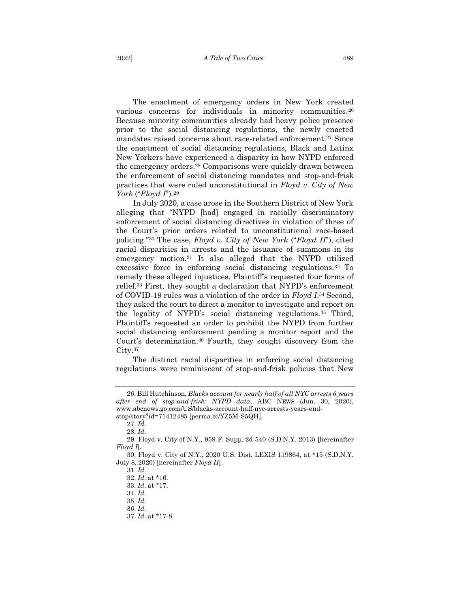The enactment of emergency orders in New York created various concerns for individuals in minority communities.<sup>26</sup> Because minority communities already had heavy police presence prior to the social distancing regulations, the newly enacted mandates raised concerns about race-related enforcement.<sup>27</sup> Since the enactment of social distancing regulations, Black and Latinx New Yorkers have experienced a disparity in how NYPD enforced the emergency orders.<sup>28</sup> Comparisons were quickly drawn between the enforcement of social distancing mandates and stop-and-frisk practices that were ruled unconstitutional in *Floyd v. City of New York* ("*Floyd I*")*.* 29

In July 2020, a case arose in the Southern District of New York alleging that "NYPD [had] engaged in racially discriminatory enforcement of social distancing directives in violation of three of the Court's prior orders related to unconstitutional race-based policing."<sup>30</sup> The case, *Floyd v. City of New York* ("*Floyd II*"), cited racial disparities in arrests and the issuance of summons in its emergency motion.<sup>31</sup> It also alleged that the NYPD utilized excessive force in enforcing social distancing regulations.<sup>32</sup> To remedy these alleged injustices, Plaintiff's requested four forms of relief.<sup>33</sup> First, they sought a declaration that NYPD's enforcement of COVID-19 rules was a violation of the order in *Floyd I*. <sup>34</sup> Second, they asked the court to direct a monitor to investigate and report on the legality of NYPD's social distancing regulations.<sup>35</sup> Third, Plaintiff's requested an order to prohibit the NYPD from further social distancing enforcement pending a monitor report and the Court's determination. <sup>36</sup> Fourth, they sought discovery from the City.<sup>37</sup>

The distinct racial disparities in enforcing social distancing regulations were reminiscent of stop-and-frisk policies that New

<sup>26.</sup> Bill Hutchinson, *Blacks account for nearly half of all NYC arrests 6 years after end of stop-and-frisk: NYPD data*, ABC NEWS (Jun. 30, 2020), www.abcnews.go.com/US/blacks-account-half-nyc-arrests-years-endstop/story?id=71412485 [perma.cc/YZ5M-S5QH].

<sup>27.</sup> *Id*.

<sup>28.</sup> *Id*.

<sup>29.</sup> Floyd v. City of N.Y., 959 F. Supp. 2d 540 (S.D.N.Y. 2013) [hereinafter *Floyd I*].

<sup>30.</sup> Floyd v. City of N.Y., 2020 U.S. Dist. LEXIS 119864, at \*15 (S.D.N.Y. July 8, 2020) [hereinafter *Floyd II*].

<sup>31.</sup> *Id*.

<sup>32.</sup> *Id*. at \*16.

<sup>33.</sup> *Id*. at \*17.

<sup>34.</sup> *Id*.

<sup>35.</sup> *Id.*

<sup>36.</sup> *Id*.

<sup>37.</sup> *Id*. at \*17-8.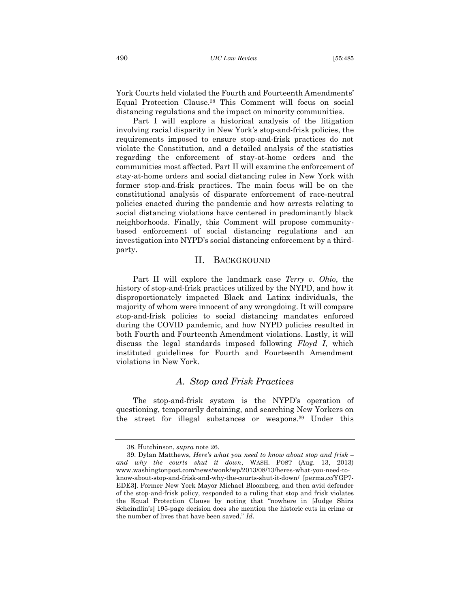York Courts held violated the Fourth and Fourteenth Amendments' Equal Protection Clause.<sup>38</sup> This Comment will focus on social distancing regulations and the impact on minority communities.

Part I will explore a historical analysis of the litigation involving racial disparity in New York's stop-and-frisk policies, the requirements imposed to ensure stop-and-frisk practices do not violate the Constitution, and a detailed analysis of the statistics regarding the enforcement of stay-at-home orders and the communities most affected. Part II will examine the enforcement of stay-at-home orders and social distancing rules in New York with former stop-and-frisk practices. The main focus will be on the constitutional analysis of disparate enforcement of race-neutral policies enacted during the pandemic and how arrests relating to social distancing violations have centered in predominantly black neighborhoods. Finally, this Comment will propose communitybased enforcement of social distancing regulations and an investigation into NYPD's social distancing enforcement by a thirdparty.

#### <span id="page-6-0"></span>II. BACKGROUND

Part II will explore the landmark case *Terry v. Ohio*, the history of stop-and-frisk practices utilized by the NYPD, and how it disproportionately impacted Black and Latinx individuals, the majority of whom were innocent of any wrongdoing. It will compare stop-and-frisk policies to social distancing mandates enforced during the COVID pandemic, and how NYPD policies resulted in both Fourth and Fourteenth Amendment violations. Lastly, it will discuss the legal standards imposed following *Floyd I*, which instituted guidelines for Fourth and Fourteenth Amendment violations in New York.

# *A. Stop and Frisk Practices*

<span id="page-6-1"></span>The stop-and-frisk system is the NYPD's operation of questioning, temporarily detaining, and searching New Yorkers on the street for illegal substances or weapons.<sup>39</sup> Under this

<sup>38.</sup> Hutchinson, *supra* note 26.

<sup>39.</sup> Dylan Matthews, *Here's what you need to know about stop and frisk – and why the courts shut it down*, WASH. POST (Aug. 13, 2013) www.washingtonpost.com/news/wonk/wp/2013/08/13/heres-what-you-need-toknow-about-stop-and-frisk-and-why-the-courts-shut-it-down/ [perma.cc/YGP7- EDE3]. Former New York Mayor Michael Bloomberg, and then avid defender of the stop-and-frisk policy, responded to a ruling that stop and frisk violates the Equal Protection Clause by noting that "nowhere in [Judge Shira Scheindlin's] 195-page decision does she mention the historic cuts in crime or the number of lives that have been saved." *Id*.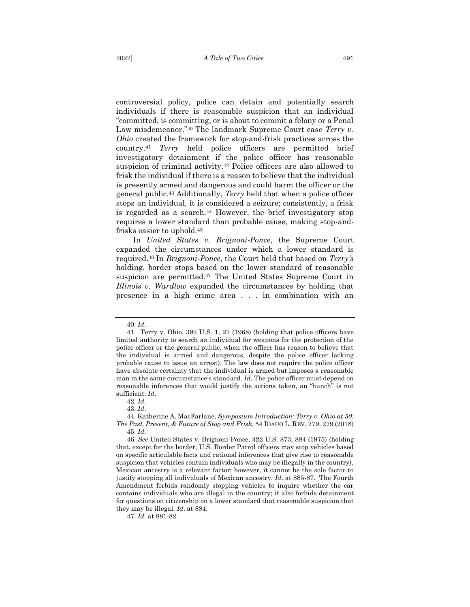controversial policy, police can detain and potentially search individuals if there is reasonable suspicion that an individual "committed, is committing, or is about to commit a felony or a Penal Law misdemeanor."<sup>40</sup> The landmark Supreme Court case *Terry v. Ohio* created the framework for stop-and-frisk practices across the country.<sup>41</sup> *Terry* held police officers are permitted brief investigatory detainment if the police officer has reasonable suspicion of criminal activity.<sup>42</sup> Police officers are also allowed to frisk the individual if there is a reason to believe that the individual is presently armed and dangerous and could harm the officer or the general public.<sup>43</sup> Additionally, *Terry* held that when a police officer stops an individual, it is considered a seizure; consistently, a frisk is regarded as a search.<sup>44</sup> However, the brief investigatory stop requires a lower standard than probable cause, making stop-andfrisks easier to uphold.<sup>45</sup>

In *United States v. Brignoni-Ponce*, the Supreme Court expanded the circumstances under which a lower standard is required.<sup>46</sup> In *Brignoni-Ponce,* the Court held that based on *Terry's*  holding, border stops based on the lower standard of reasonable suspicion are permitted.<sup>47</sup> The United States Supreme Court in *Illinois v. Wardlow* expanded the circumstances by holding that presence in a high crime area . . . in combination with an

42. *Id.* 

47. *Id*. at 881-82.

<sup>40.</sup> *Id*.

<sup>41.</sup> Terry v. Ohio, 392 U.S. 1, 27 (1968) (holding that police officers have limited authority to search an individual for weapons for the protection of the police officer or the general public, when the officer has reason to believe that the individual is armed and dangerous, despite the police officer lacking probable cause to issue an arrest). The law does not require the police officer have absolute certainty that the individual is armed but imposes a reasonable man in the same circumstance's standard. *Id*. The police officer must depend on reasonable inferences that would justify the actions taken, an "hunch" is not sufficient. *Id*.

<sup>43.</sup> *Id*.

<sup>44.</sup> Katherine A. MacFarlane, *Symposium Introduction: Terry v. Ohio at 50: The Past, Present, & Future of Stop and Frisk*, 54 IDAHO L. REV. 279, 279 (2018) 45. *Id*.

<sup>46</sup>*. See* United States v. Brignoni-Ponce, 422 U.S. 873, 884 (1975) (holding that, except for the border, U.S. Border Patrol officers may stop vehicles based on specific articulable facts and rational inferences that give rise to reasonable suspicion that vehicles contain individuals who may be illegally in the country). Mexican ancestry is a relevant factor; however, it cannot be the sole factor to justify stopping all individuals of Mexican ancestry. *Id*. at 885-87. The Fourth Amendment forbids randomly stopping vehicles to inquire whether the car contains individuals who are illegal in the country; it also forbids detainment for questions on citizenship on a lower standard that reasonable suspicion that they may be illegal. *Id*. at 884.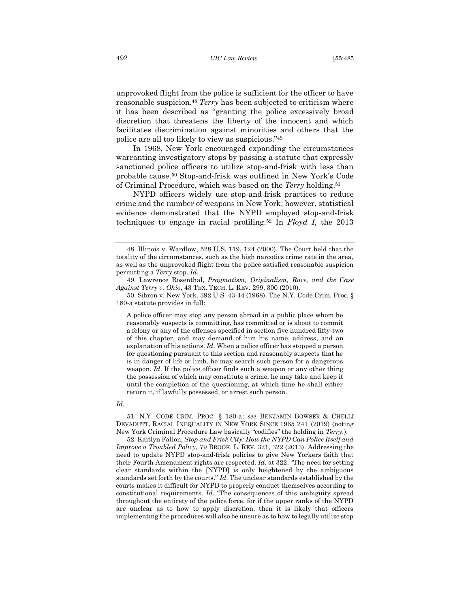unprovoked flight from the police is sufficient for the officer to have reasonable suspicion.<sup>48</sup> *Terry* has been subjected to criticism where it has been described as "granting the police excessively broad discretion that threatens the liberty of the innocent and which facilitates discrimination against minorities and others that the police are all too likely to view as suspicious." 49

In 1968, New York encouraged expanding the circumstances warranting investigatory stops by passing a statute that expressly sanctioned police officers to utilize stop-and-frisk with less than probable cause.<sup>50</sup> Stop-and-frisk was outlined in New York's Code of Criminal Procedure, which was based on the *Terry* holding.<sup>51</sup>

NYPD officers widely use stop-and-frisk practices to reduce crime and the number of weapons in New York; however, statistical evidence demonstrated that the NYPD employed stop-and-frisk techniques to engage in racial profiling.<sup>52</sup> In *Floyd I*, the 2013

A police officer may stop any person abroad in a public place whom he reasonably suspects is committing, has committed or is about to commit a felony or any of the offenses specified in section five hundred fifty-two of this chapter, and may demand of him his name, address, and an explanation of his actions. *Id*. When a police officer has stopped a person for questioning pursuant to this section and reasonably suspects that he is in danger of life or limb, he may search such person for a dangerous weapon. *Id*. If the police officer finds such a weapon or any other thing the possession of which may constitute a crime, he may take and keep it until the completion of the questioning, at which time he shall either return it, if lawfully possessed, or arrest such person.

#### *Id*.

51. N.Y. CODE CRIM. PROC. § 180-a; *see* BENJAMIN BOWSER & CHELLI DEVADUTT, RACIAL INEQUALITY IN NEW YORK SINCE 1965 241 (2019) (noting New York Criminal Procedure Law basically "codifies" the holding in *Terry*.).

52. Kaitlyn Fallon, *Stop and Frisk City: How the NYPD Can Police Itself and Improve a Troubled Policy*, 79 BROOK. L. REV. 321, 322 (2013). Addressing the need to update NYPD stop-and-frisk policies to give New Yorkers faith that their Fourth Amendment rights are respected. *Id*. at 322. "The need for setting clear standards within the [NYPD] is only heightened by the ambiguous standards set forth by the courts." *Id*. The unclear standards established by the courts makes it difficult for NYPD to properly conduct themselves according to constitutional requirements. *Id*. "The consequences of this ambiguity spread throughout the entirety of the police force, for if the upper ranks of the NYPD are unclear as to how to apply discretion, then it is likely that officers implementing the procedures will also be unsure as to how to legally utilize stop

<sup>48.</sup> Illinois v. Wardlow, 528 U.S. 119, 124 (2000). The Court held that the totality of the circumstances, such as the high narcotics crime rate in the area, as well as the unprovoked flight from the police satisfied reasonable suspicion permitting a *Terry* stop. *Id*.

<sup>49.</sup> Lawrence Rosenthal, *Pragmatism, Originalism, Race, and the Case Against Terry v. Ohio*, 43 TEX. TECH. L. REV. 299, 300 (2010).

<sup>50.</sup> Sibron v. New York, 392 U.S. 43-44 (1968). The N.Y. Code Crim. Proc. § 180-a statute provides in full: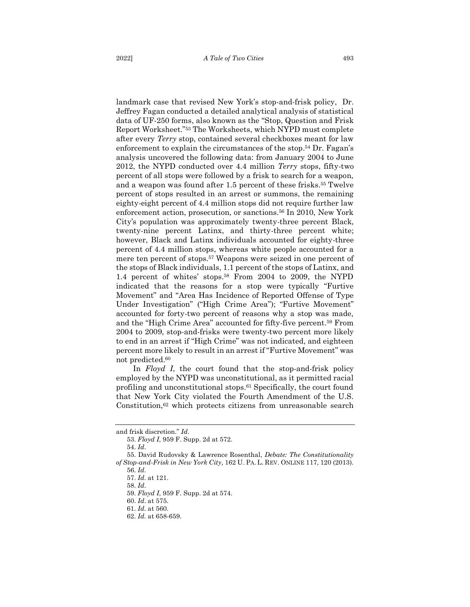landmark case that revised New York's stop-and-frisk policy, Dr. Jeffrey Fagan conducted a detailed analytical analysis of statistical data of UF-250 forms, also known as the "Stop, Question and Frisk Report Worksheet." <sup>53</sup> The Worksheets, which NYPD must complete after every *Terry* stop, contained several checkboxes meant for law enforcement to explain the circumstances of the stop. <sup>54</sup> Dr. Fagan's analysis uncovered the following data: from January 2004 to June 2012, the NYPD conducted over 4.4 million *Terry* stops, fifty-two percent of all stops were followed by a frisk to search for a weapon, and a weapon was found after 1.5 percent of these frisks.<sup>55</sup> Twelve percent of stops resulted in an arrest or summons, the remaining eighty-eight percent of 4.4 million stops did not require further law enforcement action, prosecution, or sanctions.<sup>56</sup> In 2010, New York City's population was approximately twenty-three percent Black, twenty-nine percent Latinx, and thirty-three percent white; however, Black and Latinx individuals accounted for eighty-three percent of 4.4 million stops, whereas white people accounted for a mere ten percent of stops.<sup>57</sup> Weapons were seized in one percent of the stops of Black individuals, 1.1 percent of the stops of Latinx, and 1.4 percent of whites' stops.<sup>58</sup> From 2004 to 2009, the NYPD indicated that the reasons for a stop were typically "Furtive Movement" and "Area Has Incidence of Reported Offense of Type Under Investigation" ("High Crime Area"); "Furtive Movement" accounted for forty-two percent of reasons why a stop was made, and the "High Crime Area" accounted for fifty-five percent. <sup>59</sup> From 2004 to 2009, stop-and-frisks were twenty-two percent more likely to end in an arrest if "High Crime" was not indicated, and eighteen percent more likely to result in an arrest if "Furtive Movement" was not predicted.<sup>60</sup>

In *Floyd I*, the court found that the stop-and-frisk policy employed by the NYPD was unconstitutional, as it permitted racial profiling and unconstitutional stops.<sup>61</sup> Specifically, the court found that New York City violated the Fourth Amendment of the U.S. Constitution, <sup>62</sup> which protects citizens from unreasonable search

and frisk discretion." *Id*.

<sup>53.</sup> *Floyd I*, 959 F. Supp. 2d at 572.

<sup>54.</sup> *Id*.

<sup>55.</sup> David Rudovsky & Lawrence Rosenthal, *Debate: The Constitutionality of Stop-and-Frisk in New York City*, 162 U. PA. L. REV. ONLINE 117, 120 (2013). 56. *Id*.

<sup>57.</sup> *Id*. at 121.

<sup>58.</sup> *Id*.

<sup>59.</sup> *Floyd I*, 959 F. Supp. 2d at 574.

<sup>60.</sup> *Id*. at 575.

<sup>61.</sup> *Id.* at 560.

<sup>62.</sup> *Id.* at 658-659.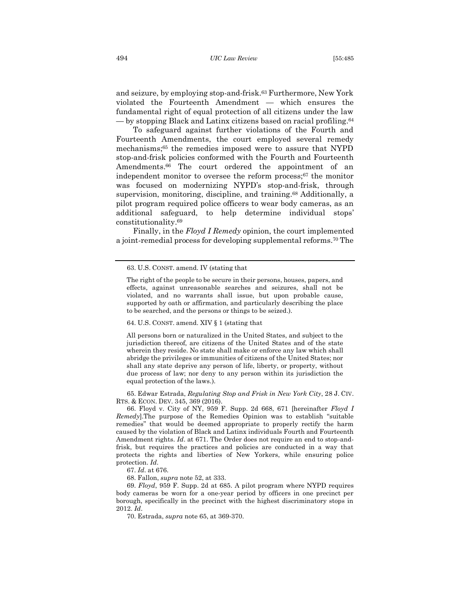and seizure, by employing stop-and-frisk.<sup>63</sup> Furthermore, New York violated the Fourteenth Amendment — which ensures the fundamental right of equal protection of all citizens under the law — by stopping Black and Latinx citizens based on racial profiling.<sup>64</sup>

To safeguard against further violations of the Fourth and Fourteenth Amendments, the court employed several remedy mechanisms;<sup>65</sup> the remedies imposed were to assure that NYPD stop-and-frisk policies conformed with the Fourth and Fourteenth Amendments. <sup>66</sup> The court ordered the appointment of an independent monitor to oversee the reform process;<sup>67</sup> the monitor was focused on modernizing NYPD's stop-and-frisk, through supervision, monitoring, discipline, and training.<sup>68</sup> Additionally, a pilot program required police officers to wear body cameras, as an additional safeguard, to help determine individual stops' constitutionality.<sup>69</sup>

Finally, in the *Floyd I Remedy* opinion, the court implemented a joint-remedial process for developing supplemental reforms.<sup>70</sup> The

64. U.S. CONST. amend. XIV § 1 (stating that

All persons born or naturalized in the United States, and subject to the jurisdiction thereof, are citizens of the United States and of the state wherein they reside. No state shall make or enforce any law which shall abridge the privileges or immunities of citizens of the United States; nor shall any state deprive any person of life, liberty, or property, without due process of law; nor deny to any person within its jurisdiction the equal protection of the laws.).

65. Edwar Estrada, *Regulating Stop and Frisk in New York City*, 28 J. CIV. RTS. & ECON. DEV. 345, 369 (2016).

66. Floyd v. City of NY, 959 F. Supp. 2d 668, 671 [hereinafter *Floyd I Remedy*].The purpose of the Remedies Opinion was to establish "suitable remedies" that would be deemed appropriate to properly rectify the harm caused by the violation of Black and Latinx individuals Fourth and Fourteenth Amendment rights. *Id*. at 671. The Order does not require an end to stop-andfrisk, but requires the practices and policies are conducted in a way that protects the rights and liberties of New Yorkers, while ensuring police protection. *Id*.

67. *Id*. at 676.

68. Fallon, *supra* note 52, at 333.

69. *Floyd*, 959 F. Supp. 2d at 685. A pilot program where NYPD requires body cameras be worn for a one-year period by officers in one precinct per borough, specifically in the precinct with the highest discriminatory stops in 2012. *Id*.

70. Estrada, *supra* note 65, at 369-370.

<sup>63.</sup> U.S. CONST. amend. IV (stating that

The right of the people to be secure in their persons, houses, papers, and effects, against unreasonable searches and seizures, shall not be violated, and no warrants shall issue, but upon probable cause, supported by oath or affirmation, and particularly describing the place to be searched, and the persons or things to be seized.).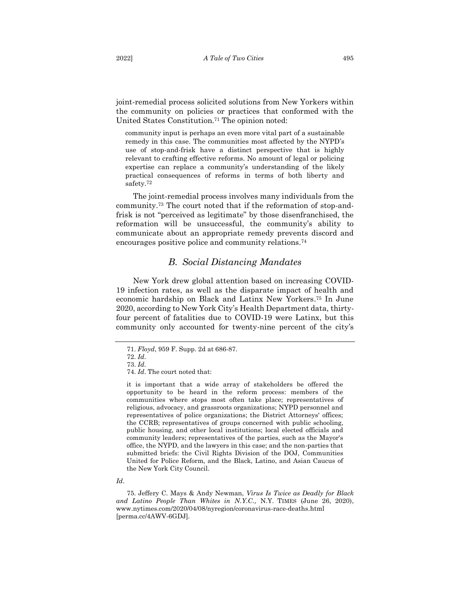joint-remedial process solicited solutions from New Yorkers within the community on policies or practices that conformed with the United States Constitution.<sup>71</sup> The opinion noted:

community input is perhaps an even more vital part of a sustainable remedy in this case. The communities most affected by the NYPD's use of stop-and-frisk have a distinct perspective that is highly relevant to crafting effective reforms. No amount of legal or policing expertise can replace a community's understanding of the likely practical consequences of reforms in terms of both liberty and safety. 72

The joint-remedial process involves many individuals from the community.<sup>73</sup> The court noted that if the reformation of stop-andfrisk is not "perceived as legitimate" by those disenfranchised, the reformation will be unsuccessful, the community's ability to communicate about an appropriate remedy prevents discord and encourages positive police and community relations.<sup>74</sup>

## *B. Social Distancing Mandates*

<span id="page-11-0"></span>New York drew global attention based on increasing COVID-19 infection rates, as well as the disparate impact of health and economic hardship on Black and Latinx New Yorkers. <sup>75</sup> In June 2020, according to New York City's Health Department data, thirtyfour percent of fatalities due to COVID-19 were Latinx, but this community only accounted for twenty-nine percent of the city's

<sup>71.</sup> *Floyd*, 959 F. Supp. 2d at 686-87.

<sup>72.</sup> *Id*. 73. *Id*.

<sup>74.</sup> *Id*. The court noted that:

it is important that a wide array of stakeholders be offered the opportunity to be heard in the reform process: members of the communities where stops most often take place; representatives of religious, advocacy, and grassroots organizations; NYPD personnel and representatives of police organizations; the District Attorneys' offices; the CCRB; representatives of groups concerned with public schooling, public housing, and other local institutions; local elected officials and community leaders; representatives of the parties, such as the Mayor's office, the NYPD, and the lawyers in this case; and the non-parties that submitted briefs: the Civil Rights Division of the DOJ, Communities United for Police Reform, and the Black, Latino, and Asian Caucus of the New York City Council.

*Id*.

<sup>75.</sup> Jeffery C. Mays & Andy Newman, *Virus Is Twice as Deadly for Black and Latino People Than Whites in N.Y.C.,* N.Y. TIMES (June 26, 2020), www.nytimes.com/2020/04/08/nyregion/coronavirus-race-deaths.html [perma.cc/4AWV-6GDJ].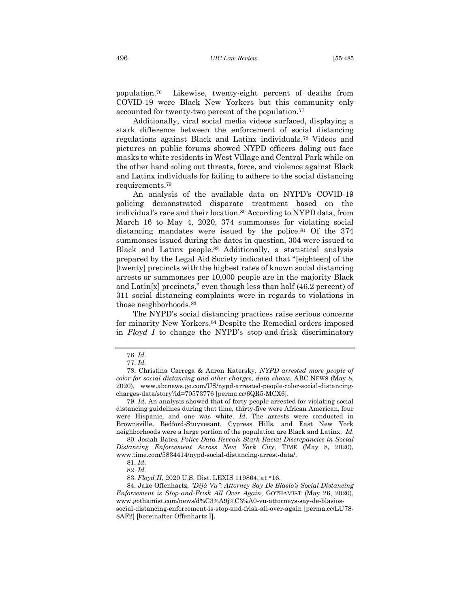population.<sup>76</sup> Likewise, twenty-eight percent of deaths from COVID-19 were Black New Yorkers but this community only accounted for twenty-two percent of the population.<sup>77</sup>

Additionally, viral social media videos surfaced, displaying a stark difference between the enforcement of social distancing regulations against Black and Latinx individuals.<sup>78</sup> Videos and pictures on public forums showed NYPD officers doling out face masks to white residents in West Village and Central Park while on the other hand doling out threats, force, and violence against Black and Latinx individuals for failing to adhere to the social distancing requirements.<sup>79</sup>

An analysis of the available data on NYPD's COVID-19 policing demonstrated disparate treatment based on the individual's race and their location.<sup>80</sup> According to NYPD data, from March 16 to May 4, 2020, 374 summonses for violating social distancing mandates were issued by the police.<sup>81</sup> Of the 374 summonses issued during the dates in question, 304 were issued to Black and Latinx people.<sup>82</sup> Additionally, a statistical analysis prepared by the Legal Aid Society indicated that "[eighteen] of the [twenty] precincts with the highest rates of known social distancing arrests or summonses per 10,000 people are in the majority Black and Latin[x] precincts," even though less than half (46.2 percent) of 311 social distancing complaints were in regards to violations in those neighborhoods. 83

The NYPD's social distancing practices raise serious concerns for minority New Yorkers.<sup>84</sup> Despite the Remedial orders imposed in *Floyd I* to change the NYPD's stop-and-frisk discriminatory

79. *Id*. An analysis showed that of forty people arrested for violating social distancing guidelines during that time, thirty-five were African American, four were Hispanic, and one was white. *Id*. The arrests were conducted in Brownsville, Bedford-Stuyvesant, Cypress Hills, and East New York neighborhoods were a large portion of the population are Black and Latinx. *Id*.

80. Josiah Bates, *Police Data Reveals Stark Racial Discrepancies in Social Distancing Enforcement Across New York City*, TIME (May 8, 2020), www.time.com/5834414/nypd-social-distancing-arrest-data/.

8AF2] [hereinafter Offenhartz I].

<sup>76.</sup> *Id*.

<sup>77.</sup> *Id*.

<sup>78.</sup> Christina Carrega & Aaron Katersky, *NYPD arrested more people of color for social distancing and other charges, data shows*, ABC NEWS (May 8, 2020), www.abcnews.go.com/US/nypd-arrested-people-color-social-distancingcharges-data/story?id=70573776 [perma.cc/6QR5-MCX6].

<sup>81.</sup> *Id*.

<sup>82.</sup> *Id*.

<sup>83.</sup> *Floyd II*, 2020 U.S. Dist. LEXIS 119864, at \*16.

<sup>84.</sup> Jake Offenhartz, *"Déjà Vu": Attorney Say De Blasio's Social Distancing Enforcement is Stop-and-Frisk All Over Again*, GOTHAMIST (May 26, 2020), www.gothamist.com/news/d%C3%A9j%C3%A0-vu-attorneys-say-de-blasiossocial-distancing-enforcement-is-stop-and-frisk-all-over-again [perma.cc/LU78-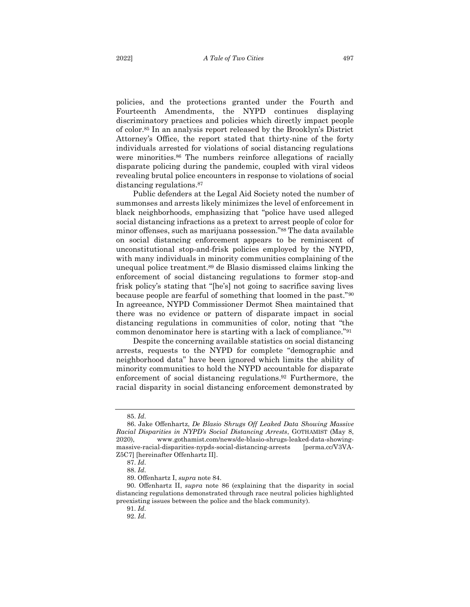policies, and the protections granted under the Fourth and Fourteenth Amendments, the NYPD continues displaying discriminatory practices and policies which directly impact people of color.<sup>85</sup> In an analysis report released by the Brooklyn's District Attorney's Office, the report stated that thirty-nine of the forty individuals arrested for violations of social distancing regulations were minorities.<sup>86</sup> The numbers reinforce allegations of racially disparate policing during the pandemic, coupled with viral videos revealing brutal police encounters in response to violations of social distancing regulations.<sup>87</sup>

Public defenders at the Legal Aid Society noted the number of summonses and arrests likely minimizes the level of enforcement in black neighborhoods, emphasizing that "police have used alleged social distancing infractions as a pretext to arrest people of color for minor offenses, such as marijuana possession."<sup>88</sup> The data available on social distancing enforcement appears to be reminiscent of unconstitutional stop-and-frisk policies employed by the NYPD, with many individuals in minority communities complaining of the unequal police treatment.<sup>89</sup> de Blasio dismissed claims linking the enforcement of social distancing regulations to former stop-and frisk policy's stating that "[he's] not going to sacrifice saving lives because people are fearful of something that loomed in the past."<sup>90</sup> In agreeance, NYPD Commissioner Dermot Shea maintained that there was no evidence or pattern of disparate impact in social distancing regulations in communities of color, noting that "the common denominator here is starting with a lack of compliance."<sup>91</sup>

Despite the concerning available statistics on social distancing arrests, requests to the NYPD for complete "demographic and neighborhood data" have been ignored which limits the ability of minority communities to hold the NYPD accountable for disparate enforcement of social distancing regulations.<sup>92</sup> Furthermore, the racial disparity in social distancing enforcement demonstrated by

<sup>85.</sup> *Id*.

<sup>86.</sup> Jake Offenhartz, *De Blasio Shrugs Off Leaked Data Showing Massive Racial Disparities in NYPD's Social Distancing Arrests*, GOTHAMIST (May 8, 2020), www.gothamist.com/news/de-blasio-shrugs-leaked-data-showingmassive-racial-disparities-nypds-social-distancing-arrests [perma.cc/V3VA-Z5C7] [hereinafter Offenhartz II].

<sup>87.</sup> *Id*.

<sup>88.</sup> *Id*.

<sup>89.</sup> Offenhartz I, *supra* note 84.

<sup>90.</sup> Offenhartz II, *supra* note 86 (explaining that the disparity in social distancing regulations demonstrated through race neutral policies highlighted preexisting issues between the police and the black community).

<sup>91.</sup> *Id*.

<sup>92.</sup> *Id*.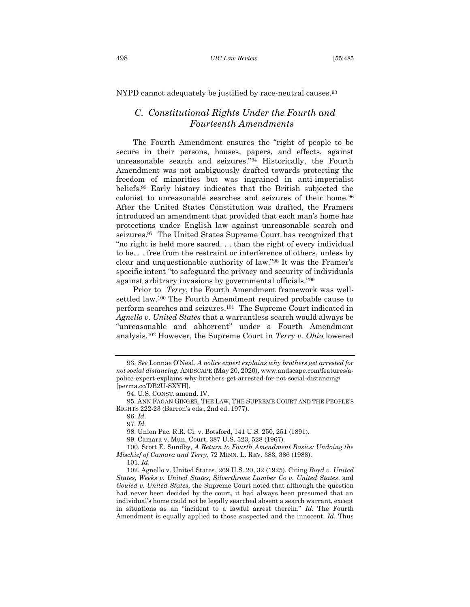<span id="page-14-0"></span>NYPD cannot adequately be justified by race-neutral causes.<sup>93</sup>

# *C. Constitutional Rights Under the Fourth and Fourteenth Amendments*

The Fourth Amendment ensures the "right of people to be secure in their persons, houses, papers, and effects, against unreasonable search and seizures."<sup>94</sup> Historically, the Fourth Amendment was not ambiguously drafted towards protecting the freedom of minorities but was ingrained in anti-imperialist beliefs.<sup>95</sup> Early history indicates that the British subjected the colonist to unreasonable searches and seizures of their home.<sup>96</sup> After the United States Constitution was drafted, the Framers introduced an amendment that provided that each man's home has protections under English law against unreasonable search and seizures.97 The United States Supreme Court has recognized that "no right is held more sacred. . . than the right of every individual to be. . . free from the restraint or interference of others, unless by clear and unquestionable authority of law."<sup>98</sup> It was the Framer's specific intent "to safeguard the privacy and security of individuals against arbitrary invasions by governmental officials."<sup>99</sup>

Prior to *Terry*, the Fourth Amendment framework was wellsettled law.<sup>100</sup> The Fourth Amendment required probable cause to perform searches and seizures.101 The Supreme Court indicated in *Agnello v. United States* that a warrantless search would always be "unreasonable and abhorrent" under a Fourth Amendment analysis.<sup>102</sup> However, the Supreme Court in *Terry v. Ohio* lowered

<sup>93.</sup> *See* Lonnae O'Neal, *A police expert explains why brothers get arrested for not social distancing*, ANDSCAPE (May 20, 2020), www.andscape.com/features/apolice-expert-explains-why-brothers-get-arrested-for-not-social-distancing/ [perma.cc/DB2U-SXYH].

<sup>94.</sup> U.S. CONST. amend. IV.

<sup>95.</sup> ANN FAGAN GINGER, THE LAW, THE SUPREME COURT AND THE PEOPLE'S RIGHTS 222-23 (Barron's eds., 2nd ed. 1977).

<sup>96.</sup> *Id*.

<sup>97.</sup> *Id*.

<sup>98.</sup> Union Pac. R.R. Ci. v. Botsford, 141 U.S. 250, 251 (1891).

<sup>99.</sup> Camara v. Mun. Court, 387 U.S. 523, 528 (1967).

<sup>100.</sup> Scott E. Sundby, *A Return to Fourth Amendment Basics: Undoing the Mischief of Camara and Terry*, 72 MINN. L. REV. 383, 386 (1988).

<sup>101.</sup> *Id*.

<sup>102.</sup> Agnello v. United States, 269 U.S. 20, 32 (1925). Citing *Boyd v. United States*, *Weeks v. United States*, *Silverthrone Lumber Co v. United States*, and *Gouled v. United States*, the Supreme Court noted that although the question had never been decided by the court, it had always been presumed that an individual's home could not be legally searched absent a search warrant, except in situations as an "incident to a lawful arrest therein." *Id*. The Fourth Amendment is equally applied to those suspected and the innocent. *Id*. Thus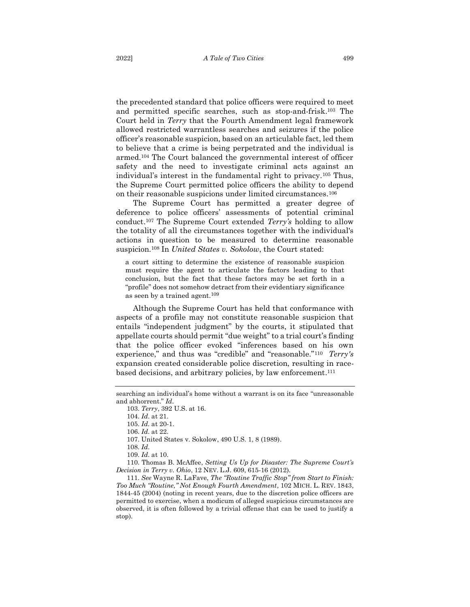the precedented standard that police officers were required to meet and permitted specific searches, such as stop-and-frisk.<sup>103</sup> The Court held in *Terry* that the Fourth Amendment legal framework allowed restricted warrantless searches and seizures if the police officer's reasonable suspicion, based on an articulable fact, led them to believe that a crime is being perpetrated and the individual is armed.<sup>104</sup> The Court balanced the governmental interest of officer safety and the need to investigate criminal acts against an individual's interest in the fundamental right to privacy.<sup>105</sup> Thus, the Supreme Court permitted police officers the ability to depend on their reasonable suspicions under limited circumstances.<sup>106</sup>

The Supreme Court has permitted a greater degree of deference to police officers' assessments of potential criminal conduct.<sup>107</sup> The Supreme Court extended *Terry's* holding to allow the totality of all the circumstances together with the individual's actions in question to be measured to determine reasonable suspicion.<sup>108</sup> In *United States v. Sokolow*, the Court stated:

a court sitting to determine the existence of reasonable suspicion must require the agent to articulate the factors leading to that conclusion, but the fact that these factors may be set forth in a "profile" does not somehow detract from their evidentiary significance as seen by a trained agent.<sup>109</sup>

Although the Supreme Court has held that conformance with aspects of a profile may not constitute reasonable suspicion that entails "independent judgment" by the courts, it stipulated that appellate courts should permit "due weight" to a trial court's finding that the police officer evoked "inferences based on his own experience," and thus was "credible" and "reasonable."<sup>110</sup> *Terry's* expansion created considerable police discretion, resulting in racebased decisions, and arbitrary policies, by law enforcement.<sup>111</sup>

107. United States v. Sokolow, 490 U.S. 1, 8 (1989).

108. *Id*.

110. Thomas B. McAffee, *Setting Us Up for Disaster: The Supreme Court's Decision in Terry v. Ohio*, 12 NEV. L.J. 609, 615-16 (2012).

111. *See* Wayne R. LaFave, *The "Routine Traffic Stop" from Start to Finish: Too Much "Routine," Not Enough Fourth Amendment*, 102 MICH. L. REV. 1843, 1844-45 (2004) (noting in recent years, due to the discretion police officers are permitted to exercise, when a modicum of alleged suspicious circumstances are observed, it is often followed by a trivial offense that can be used to justify a stop).

searching an individual's home without a warrant is on its face "unreasonable and abhorrent." *Id*.

<sup>103.</sup> *Terry*, 392 U.S. at 16.

<sup>104.</sup> *Id*. at 21.

<sup>105.</sup> *Id.* at 20-1.

<sup>106.</sup> *Id*. at 22.

<sup>109.</sup> *Id*. at 10.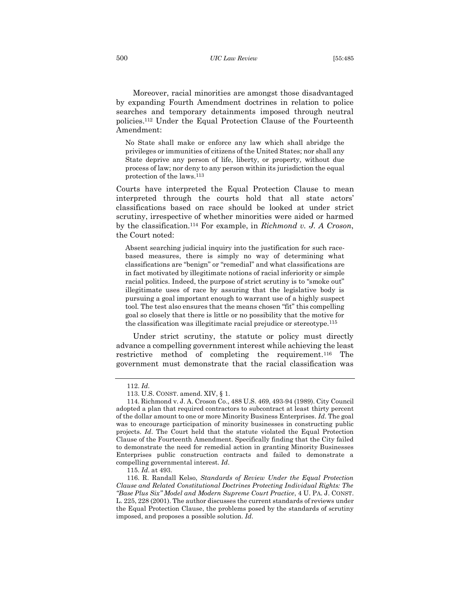Moreover, racial minorities are amongst those disadvantaged by expanding Fourth Amendment doctrines in relation to police searches and temporary detainments imposed through neutral policies.<sup>112</sup> Under the Equal Protection Clause of the Fourteenth Amendment:

No State shall make or enforce any law which shall abridge the privileges or immunities of citizens of the United States; nor shall any State deprive any person of life, liberty, or property, without due process of law; nor deny to any person within its jurisdiction the equal protection of the laws. <sup>113</sup>

Courts have interpreted the Equal Protection Clause to mean interpreted through the courts hold that all state actors' classifications based on race should be looked at under strict scrutiny, irrespective of whether minorities were aided or harmed by the classification.<sup>114</sup> For example, in *Richmond v. J. A Croson*, the Court noted:

Absent searching judicial inquiry into the justification for such racebased measures, there is simply no way of determining what classifications are "benign" or "remedial" and what classifications are in fact motivated by illegitimate notions of racial inferiority or simple racial politics. Indeed, the purpose of strict scrutiny is to "smoke out" illegitimate uses of race by assuring that the legislative body is pursuing a goal important enough to warrant use of a highly suspect tool. The test also ensures that the means chosen "fit" this compelling goal so closely that there is little or no possibility that the motive for the classification was illegitimate racial prejudice or stereotype.<sup>115</sup>

Under strict scrutiny, the statute or policy must directly advance a compelling government interest while achieving the least restrictive method of completing the requirement.<sup>116</sup> The government must demonstrate that the racial classification was

<sup>112.</sup> *Id*.

<sup>113.</sup> U.S. CONST. amend. XIV, § 1.

<sup>114.</sup> Richmond v. J. A. Croson Co., 488 U.S. 469, 493-94 (1989). City Council adopted a plan that required contractors to subcontract at least thirty percent of the dollar amount to one or more Minority Business Enterprises. *Id*. The goal was to encourage participation of minority businesses in constructing public projects. *Id*. The Court held that the statute violated the Equal Protection Clause of the Fourteenth Amendment. Specifically finding that the City failed to demonstrate the need for remedial action in granting Minority Businesses Enterprises public construction contracts and failed to demonstrate a compelling governmental interest. *Id*.

<sup>115.</sup> *Id*. at 493.

<sup>116.</sup> R. Randall Kelso, *Standards of Review Under the Equal Protection Clause and Related Constitutional Doctrines Protecting Individual Rights: The "Base Plus Six" Model and Modern Supreme Court Practice*, 4 U. PA. J. CONST. L. 225, 228 (2001). The author discusses the current standards of reviews under the Equal Protection Clause, the problems posed by the standards of scrutiny imposed, and proposes a possible solution. *Id*.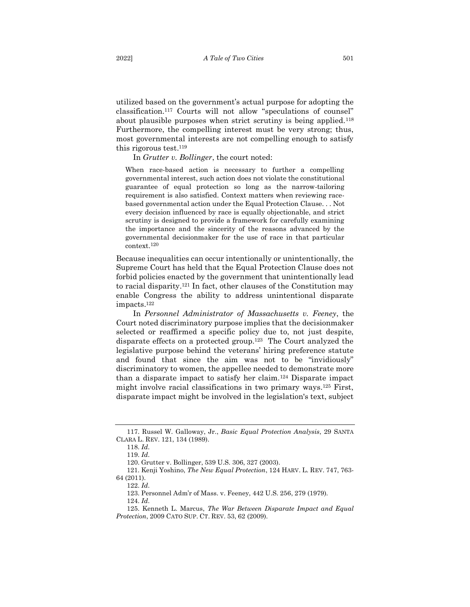utilized based on the government's actual purpose for adopting the classification.<sup>117</sup> Courts will not allow "speculations of counsel" about plausible purposes when strict scrutiny is being applied.<sup>118</sup> Furthermore, the compelling interest must be very strong; thus, most governmental interests are not compelling enough to satisfy this rigorous test.<sup>119</sup>

In *Grutter v. Bollinger*, the court noted:

When race-based action is necessary to further a compelling governmental interest, such action does not violate the constitutional guarantee of equal protection so long as the narrow-tailoring requirement is also satisfied. Context matters when reviewing racebased governmental action under the Equal Protection Clause. . . Not every decision influenced by race is equally objectionable, and strict scrutiny is designed to provide a framework for carefully examining the importance and the sincerity of the reasons advanced by the governmental decisionmaker for the use of race in that particular context.<sup>120</sup>

Because inequalities can occur intentionally or unintentionally, the Supreme Court has held that the Equal Protection Clause does not forbid policies enacted by the government that unintentionally lead to racial disparity.<sup>121</sup> In fact, other clauses of the Constitution may enable Congress the ability to address unintentional disparate impacts.<sup>122</sup>

In *Personnel Administrator of Massachusetts v. Feeney*, the Court noted discriminatory purpose implies that the decisionmaker selected or reaffirmed a specific policy due to, not just despite, disparate effects on a protected group.123 The Court analyzed the legislative purpose behind the veterans' hiring preference statute and found that since the aim was not to be "invidiously" discriminatory to women, the appellee needed to demonstrate more than a disparate impact to satisfy her claim.<sup>124</sup> Disparate impact might involve racial classifications in two primary ways.<sup>125</sup> First, disparate impact might be involved in the legislation's text, subject

123. Personnel Adm'r of Mass. v. Feeney, 442 U.S. 256, 279 (1979).

<sup>117.</sup> Russel W. Galloway, Jr., *Basic Equal Protection Analysis*, 29 SANTA CLARA L. REV. 121, 134 (1989).

<sup>118.</sup> *Id*.

<sup>119.</sup> *Id*.

<sup>120.</sup> Grutter v. Bollinger, 539 U.S. 306, 327 (2003).

<sup>121.</sup> Kenji Yoshino, *The New Equal Protection*, 124 HARV. L. REV. 747, 763- 64 (2011).

<sup>122.</sup> *Id*.

<sup>124.</sup> *Id*.

<sup>125.</sup> Kenneth L. Marcus, *The War Between Disparate Impact and Equal Protection*, 2009 CATO SUP. CT. REV. 53, 62 (2009).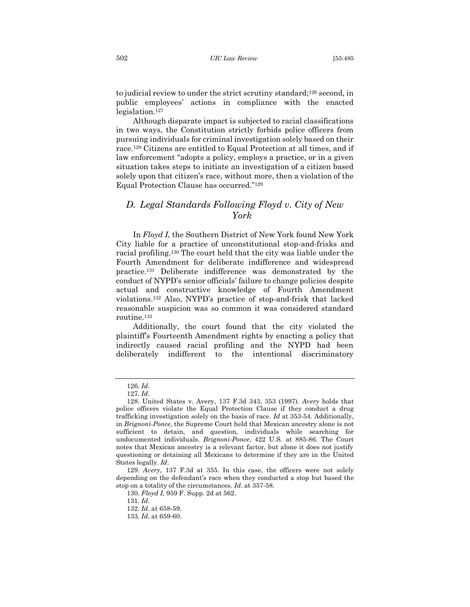to judicial review to under the strict scrutiny standard;<sup>126</sup> second, in public employees' actions in compliance with the enacted legislation.<sup>127</sup>

Although disparate impact is subjected to racial classifications in two ways, the Constitution strictly forbids police officers from pursuing individuals for criminal investigation solely based on their race.<sup>128</sup> Citizens are entitled to Equal Protection at all times, and if law enforcement "adopts a policy, employs a practice, or in a given situation takes steps to initiate an investigation of a citizen based solely upon that citizen's race, without more, then a violation of the Equal Protection Clause has occurred."<sup>129</sup>

# <span id="page-18-0"></span>*D. Legal Standards Following Floyd v. City of New York*

In *Floyd I*, the Southern District of New York found New York City liable for a practice of unconstitutional stop-and-frisks and racial profiling.<sup>130</sup> The court held that the city was liable under the Fourth Amendment for deliberate indifference and widespread practice.<sup>131</sup> Deliberate indifference was demonstrated by the conduct of NYPD's senior officials' failure to change policies despite actual and constructive knowledge of Fourth Amendment violations. <sup>132</sup> Also, NYPD's practice of stop-and-frisk that lacked reasonable suspicion was so common it was considered standard routine.<sup>133</sup>

Additionally, the court found that the city violated the plaintiff's Fourteenth Amendment rights by enacting a policy that indirectly caused racial profiling and the NYPD had been deliberately indifferent to the intentional discriminatory

<sup>126.</sup> *Id*.

<sup>127.</sup> *Id*.

<sup>128.</sup> United States v. Avery, 137 F.3d 343, 353 (1997). *Avery* holds that police officers violate the Equal Protection Clause if they conduct a drug trafficking investigation solely on the basis of race. *Id* at 353-54. Additionally, in *Brignoni-Ponce*, the Supreme Court held that Mexican ancestry alone is not sufficient to detain, and question, individuals while searching for undocumented individuals. *Brignoni-Ponce*, 422 U.S. at 885-86. The Court notes that Mexican ancestry is a relevant factor, but alone it does not justify questioning or detaining all Mexicans to determine if they are in the United States legally. *Id*.

<sup>129.</sup> *Avery*, 137 F.3d at 355. In this case, the officers were not solely depending on the defendant's race when they conducted a stop but based the stop on a totality of the circumstances. *Id*. at 357-58.

<sup>130.</sup> *Floyd I*, 959 F. Supp. 2d at 562.

<sup>131.</sup> *Id*.

<sup>132.</sup> *Id*. at 658-59.

<sup>133.</sup> *Id*. at 659-60.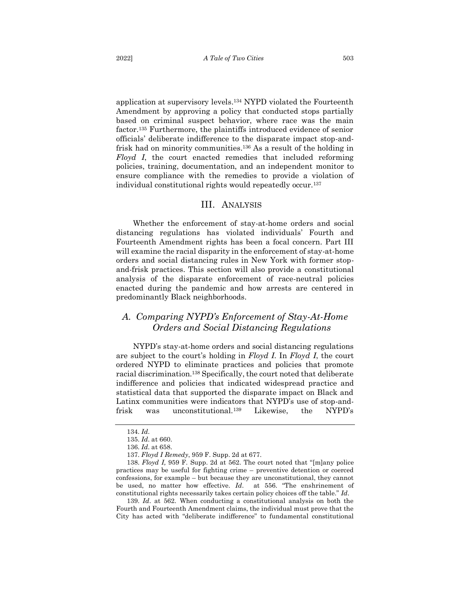application at supervisory levels.<sup>134</sup> NYPD violated the Fourteenth Amendment by approving a policy that conducted stops partially based on criminal suspect behavior, where race was the main factor.<sup>135</sup> Furthermore, the plaintiffs introduced evidence of senior officials' deliberate indifference to the disparate impact stop-andfrisk had on minority communities.<sup>136</sup> As a result of the holding in *Floyd I*, the court enacted remedies that included reforming policies, training, documentation, and an independent monitor to ensure compliance with the remedies to provide a violation of individual constitutional rights would repeatedly occur.<sup>137</sup>

#### III. ANALYSIS

<span id="page-19-0"></span>Whether the enforcement of stay-at-home orders and social distancing regulations has violated individuals' Fourth and Fourteenth Amendment rights has been a focal concern. Part III will examine the racial disparity in the enforcement of stay-at-home orders and social distancing rules in New York with former stopand-frisk practices. This section will also provide a constitutional analysis of the disparate enforcement of race-neutral policies enacted during the pandemic and how arrests are centered in predominantly Black neighborhoods.

# <span id="page-19-1"></span>*A. Comparing NYPD's Enforcement of Stay-At-Home Orders and Social Distancing Regulations*

NYPD's stay-at-home orders and social distancing regulations are subject to the court's holding in *Floyd I*. In *Floyd I*, the court ordered NYPD to eliminate practices and policies that promote racial discrimination.<sup>138</sup> Specifically, the court noted that deliberate indifference and policies that indicated widespread practice and statistical data that supported the disparate impact on Black and Latinx communities were indicators that NYPD's use of stop-andfrisk was unconstitutional.<sup>139</sup> Likewise, the NYPD's

<sup>134.</sup> *Id*.

<sup>135.</sup> *Id*. at 660.

<sup>136.</sup> *Id*. at 658.

<sup>137.</sup> *Floyd I Remedy*, 959 F. Supp. 2d at 677.

<sup>138.</sup> *Floyd I,* 959 F. Supp. 2d at 562. The court noted that "[m]any police practices may be useful for fighting crime – preventive detention or coerced confessions, for example – but because they are unconstitutional, they cannot be used, no matter how effective. *Id*. at 556. "The enshrinement of constitutional rights necessarily takes certain policy choices off the table." *Id*.

<sup>139.</sup> *Id*. at 562. When conducting a constitutional analysis on both the Fourth and Fourteenth Amendment claims, the individual must prove that the City has acted with "deliberate indifference" to fundamental constitutional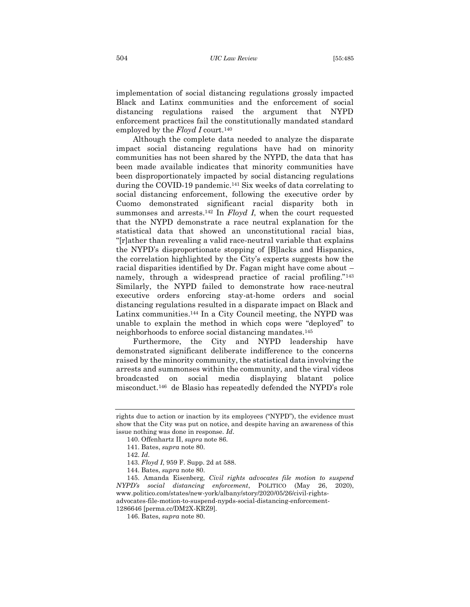implementation of social distancing regulations grossly impacted Black and Latinx communities and the enforcement of social distancing regulations raised the argument that NYPD enforcement practices fail the constitutionally mandated standard employed by the *Floyd I* court.<sup>140</sup>

Although the complete data needed to analyze the disparate impact social distancing regulations have had on minority communities has not been shared by the NYPD, the data that has been made available indicates that minority communities have been disproportionately impacted by social distancing regulations during the COVID-19 pandemic. <sup>141</sup> Six weeks of data correlating to social distancing enforcement, following the executive order by Cuomo demonstrated significant racial disparity both in summonses and arrests.<sup>142</sup> In *Floyd I*, when the court requested that the NYPD demonstrate a race neutral explanation for the statistical data that showed an unconstitutional racial bias, "[r]ather than revealing a valid race-neutral variable that explains the NYPD's disproportionate stopping of [B]lacks and Hispanics, the correlation highlighted by the City's experts suggests how the racial disparities identified by Dr. Fagan might have come about – namely, through a widespread practice of racial profiling."<sup>143</sup> Similarly, the NYPD failed to demonstrate how race-neutral executive orders enforcing stay-at-home orders and social distancing regulations resulted in a disparate impact on Black and Latinx communities.<sup>144</sup> In a City Council meeting, the NYPD was unable to explain the method in which cops were "deployed" to neighborhoods to enforce social distancing mandates.<sup>145</sup>

Furthermore, the City and NYPD leadership have demonstrated significant deliberate indifference to the concerns raised by the minority community, the statistical data involving the arrests and summonses within the community, and the viral videos broadcasted on social media displaying blatant police misconduct.<sup>146</sup> de Blasio has repeatedly defended the NYPD's role

1286646 [perma.cc/DM2X-KRZ9].

rights due to action or inaction by its employees ("NYPD"), the evidence must show that the City was put on notice, and despite having an awareness of this issue nothing was done in response. *Id*.

<sup>140.</sup> Offenhartz II, *supra* note 86.

<sup>141.</sup> Bates, *supra* note 80.

<sup>142.</sup> *Id*.

<sup>143.</sup> *Floyd I*, 959 F. Supp. 2d at 588.

<sup>144.</sup> Bates, *supra* note 80.

<sup>145.</sup> Amanda Eisenberg, *Civil rights advocates file motion to suspend NYPD's social distancing enforcement*, POLITICO (May 26, 2020), www.politico.com/states/new-york/albany/story/2020/05/26/civil-rightsadvocates-file-motion-to-suspend-nypds-social-distancing-enforcement-

<sup>146.</sup> Bates, *supra* note 80.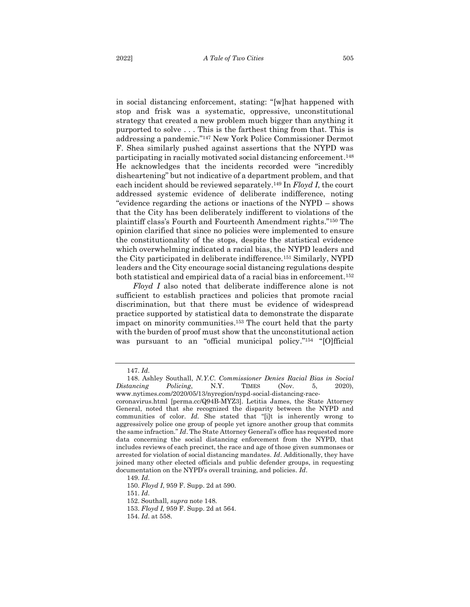in social distancing enforcement, stating: "[w]hat happened with stop and frisk was a systematic, oppressive, unconstitutional strategy that created a new problem much bigger than anything it purported to solve . . . This is the farthest thing from that. This is addressing a pandemic."<sup>147</sup> New York Police Commissioner Dermot F. Shea similarly pushed against assertions that the NYPD was participating in racially motivated social distancing enforcement. 148 He acknowledges that the incidents recorded were "incredibly disheartening" but not indicative of a department problem, and that each incident should be reviewed separately.<sup>149</sup> In *Floyd I*, the court addressed systemic evidence of deliberate indifference, noting "evidence regarding the actions or inactions of the NYPD – shows that the City has been deliberately indifferent to violations of the plaintiff class's Fourth and Fourteenth Amendment rights."<sup>150</sup> The opinion clarified that since no policies were implemented to ensure the constitutionality of the stops, despite the statistical evidence which overwhelming indicated a racial bias, the NYPD leaders and the City participated in deliberate indifference.<sup>151</sup> Similarly, NYPD leaders and the City encourage social distancing regulations despite both statistical and empirical data of a racial bias in enforcement.<sup>152</sup>

*Floyd I* also noted that deliberate indifference alone is not sufficient to establish practices and policies that promote racial discrimination, but that there must be evidence of widespread practice supported by statistical data to demonstrate the disparate impact on minority communities.<sup>153</sup> The court held that the party with the burden of proof must show that the unconstitutional action was pursuant to an "official municipal policy." <sup>154</sup> "[O]fficial

151. *Id*.

<sup>147.</sup> *Id*.

<sup>148.</sup> Ashley Southall, *N.Y.C. Commissioner Denies Racial Bias in Social Distancing Policing*, N.Y. TIMES (Nov. 5, 2020), www.nytimes.com/2020/05/13/nyregion/nypd-social-distancing-racecoronavirus.html [perma.cc/Q94B-MYZ3]. Letitia James, the State Attorney General, noted that she recognized the disparity between the NYPD and communities of color. *Id.* She stated that "[i]t is inherently wrong to aggressively police one group of people yet ignore another group that commits the same infraction." *Id*. The State Attorney General's office has requested more data concerning the social distancing enforcement from the NYPD, that includes reviews of each precinct, the race and age of those given summonses or arrested for violation of social distancing mandates. *Id*. Additionally, they have joined many other elected officials and public defender groups, in requesting documentation on the NYPD's overall training, and policies. *Id*.

<sup>149.</sup> *Id*.

<sup>150.</sup> *Floyd I*, 959 F. Supp. 2d at 590.

<sup>152.</sup> Southall*, supra* note 148.

<sup>153.</sup> *Floyd I,* 959 F. Supp. 2d at 564.

<sup>154.</sup> *Id*. at 558.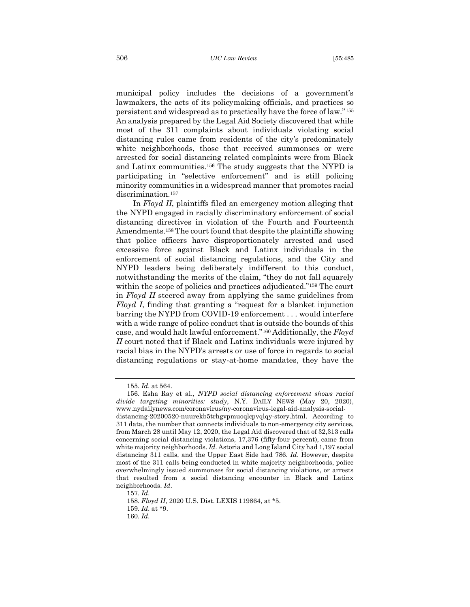municipal policy includes the decisions of a government's lawmakers, the acts of its policymaking officials, and practices so persistent and widespread as to practically have the force of law."<sup>155</sup> An analysis prepared by the Legal Aid Society discovered that while most of the 311 complaints about individuals violating social distancing rules came from residents of the city's predominately white neighborhoods, those that received summonses or were arrested for social distancing related complaints were from Black and Latinx communities.<sup>156</sup> The study suggests that the NYPD is participating in "selective enforcement" and is still policing minority communities in a widespread manner that promotes racial discrimination.<sup>157</sup>

In *Floyd II*, plaintiffs filed an emergency motion alleging that the NYPD engaged in racially discriminatory enforcement of social distancing directives in violation of the Fourth and Fourteenth Amendments. <sup>158</sup> The court found that despite the plaintiffs showing that police officers have disproportionately arrested and used excessive force against Black and Latinx individuals in the enforcement of social distancing regulations, and the City and NYPD leaders being deliberately indifferent to this conduct, notwithstanding the merits of the claim, "they do not fall squarely within the scope of policies and practices adjudicated."<sup>159</sup> The court in *Floyd II* steered away from applying the same guidelines from *Floyd I*, finding that granting a "request for a blanket injunction barring the NYPD from COVID-19 enforcement . . . would interfere with a wide range of police conduct that is outside the bounds of this case, and would halt lawful enforcement."<sup>160</sup> Additionally, the *Floyd II* court noted that if Black and Latinx individuals were injured by racial bias in the NYPD's arrests or use of force in regards to social distancing regulations or stay-at-home mandates, they have the

<sup>155.</sup> *Id*. at 564.

<sup>156.</sup> Esha Ray et al., *NYPD social distancing enforcement shows racial divide targeting minorities: study*, N.Y. DAILY NEWS (May 20, 2020), www.nydailynews.com/coronavirus/ny-coronavirus-legal-aid-analysis-socialdistancing-20200520-nuurekb5trhgvpmuoqlcpvqlqy-story.html. According to 311 data, the number that connects individuals to non-emergency city services, from March 28 until May 12, 2020, the Legal Aid discovered that of 32,313 calls concerning social distancing violations, 17,376 (fifty-four percent), came from white majority neighborhoods. *Id*. Astoria and Long Island City had 1,197 social distancing 311 calls, and the Upper East Side had 786. *Id*. However, despite most of the 311 calls being conducted in white majority neighborhoods, police overwhelmingly issued summonses for social distancing violations, or arrests that resulted from a social distancing encounter in Black and Latinx neighborhoods. *Id*.

<sup>157.</sup> *Id*.

<sup>158.</sup> *Floyd II*, 2020 U.S. Dist. LEXIS 119864, at \*5.

<sup>159.</sup> *Id*. at \*9.

<sup>160.</sup> *Id*.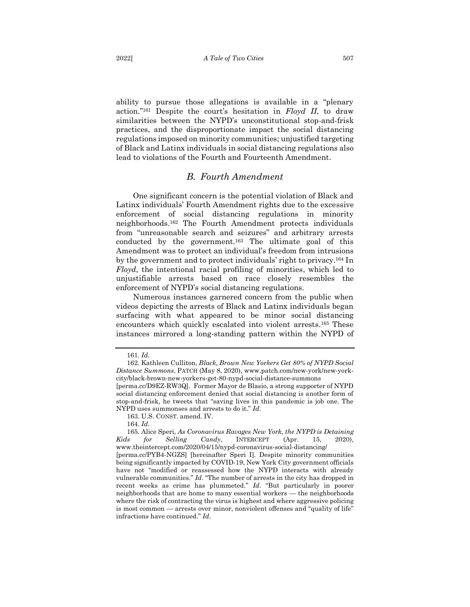ability to pursue those allegations is available in a "plenary action."<sup>161</sup> Despite the court's hesitation in *Floyd II*, to draw similarities between the NYPD's unconstitutional stop-and-frisk practices, and the disproportionate impact the social distancing regulations imposed on minority communities; unjustified targeting of Black and Latinx individuals in social distancing regulations also

#### *B. Fourth Amendment*

<span id="page-23-0"></span>lead to violations of the Fourth and Fourteenth Amendment.

One significant concern is the potential violation of Black and Latinx individuals' Fourth Amendment rights due to the excessive enforcement of social distancing regulations in minority neighborhoods.<sup>162</sup> The Fourth Amendment protects individuals from "unreasonable search and seizures" and arbitrary arrests conducted by the government.<sup>163</sup> The ultimate goal of this Amendment was to protect an individual's freedom from intrusions by the government and to protect individuals' right to privacy.<sup>164</sup> In *Floyd*, the intentional racial profiling of minorities, which led to unjustifiable arrests based on race closely resembles the enforcement of NYPD's social distancing regulations.

Numerous instances garnered concern from the public when videos depicting the arrests of Black and Latinx individuals began surfacing with what appeared to be minor social distancing encounters which quickly escalated into violent arrests.<sup>165</sup> These instances mirrored a long-standing pattern within the NYPD of

<sup>161.</sup> *Id*.

<sup>162.</sup> Kathleen Culliton, *Black, Brown New Yorkers Get 80% of NYPD Social Distance Summons*, PATCH (May 8, 2020), www.patch.com/new-york/new-yorkcity/black-brown-new-yorkers-get-80-nypd-social-distance-summons

<sup>[</sup>perma.cc/D9EZ-RW3Q]. Former Mayor de Blasio, a strong supporter of NYPD social distancing enforcement denied that social distancing is another form of stop-and-frisk, he tweets that "saving lives in this pandemic is job one. The NYPD uses summonses and arrests to do it." *Id*.

<sup>163.</sup> U.S. CONST. amend. IV.

<sup>164.</sup> *Id*.

<sup>165.</sup> Alice Speri, *As Coronavirus Ravages New York, the NYPD is Detaining Kids for Selling Candy*, INTERCEPT (Apr. 15, 2020), www.theintercept.com/2020/04/15/nypd-coronavirus-social-distancing/

<sup>[</sup>perma.cc/PYB4-NGZS] [hereinafter Speri I]. Despite minority communities being significantly impacted by COVID-19, New York City government officials have not "modified or reassessed how the NYPD interacts with already vulnerable communities." *Id*. "The number of arrests in the city has dropped in recent weeks as crime has plummeted." *Id*. "But particularly in poorer neighborhoods that are home to many essential workers — the neighborhoods where the risk of contracting the virus is highest and where aggressive policing is most common — arrests over minor, nonviolent offenses and "quality of life" infractions have continued." *Id*.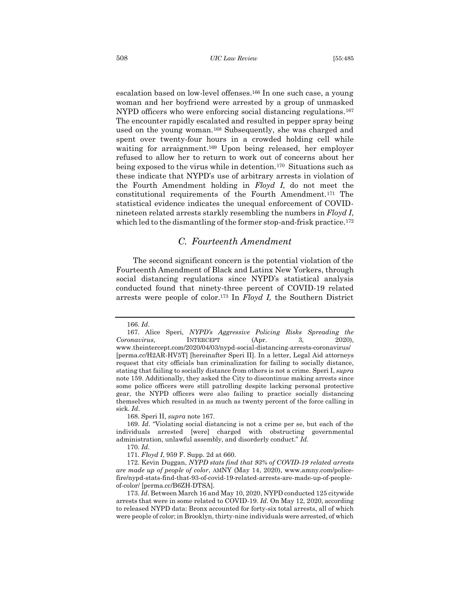escalation based on low-level offenses.<sup>166</sup> In one such case, a young woman and her boyfriend were arrested by a group of unmasked NYPD officers who were enforcing social distancing regulations.<sup>167</sup> The encounter rapidly escalated and resulted in pepper spray being used on the young woman.<sup>168</sup> Subsequently, she was charged and spent over twenty-four hours in a crowded holding cell while waiting for arraignment.<sup>169</sup> Upon being released, her employer refused to allow her to return to work out of concerns about her being exposed to the virus while in detention.170 Situations such as these indicate that NYPD's use of arbitrary arrests in violation of the Fourth Amendment holding in *Floyd I*, do not meet the constitutional requirements of the Fourth Amendment.<sup>171</sup> The statistical evidence indicates the unequal enforcement of COVIDnineteen related arrests starkly resembling the numbers in *Floyd I*, which led to the dismantling of the former stop-and-frisk practice.<sup>172</sup>

## *C. Fourteenth Amendment*

<span id="page-24-0"></span>The second significant concern is the potential violation of the Fourteenth Amendment of Black and Latinx New Yorkers, through social distancing regulations since NYPD's statistical analysis conducted found that ninety-three percent of COVID-19 related arrests were people of color.<sup>173</sup> In *Floyd I,* the Southern District

168. Speri II, *supra* note 167.

169. *Id*. "Violating social distancing is not a crime per se, but each of the individuals arrested [were] charged with obstructing governmental administration, unlawful assembly, and disorderly conduct." *Id.*

170. *Id*.

171. *Floyd I*, 959 F. Supp. 2d at 660.

172. Kevin Duggan, *NYPD stats find that 93% of COVID-19 related arrests are made up of people of color*, AMNY (May 14, 2020), www.amny.com/policefire/nypd-stats-find-that-93-of-covid-19-related-arrests-are-made-up-of-peopleof-color/ [perma.cc/B6ZH-DTSA].

173. *Id*. Between March 16 and May 10, 2020, NYPD conducted 125 citywide arrests that were in some related to COVID-19. *Id.* On May 12, 2020, according to released NYPD data: Bronx accounted for forty-six total arrests, all of which were people of color; in Brooklyn, thirty-nine individuals were arrested, of which

<sup>166.</sup> *Id*.

<sup>167.</sup> Alice Speri, *NYPD's Aggressive Policing Risks Spreading the Coronavirus*, INTERCEPT (Apr. 3, 2020), www.theintercept.com/2020/04/03/nypd-social-distancing-arrests-coronavirus/ [perma.cc/H2AR-HV5T] [hereinafter Speri II]. In a letter, Legal Aid attorneys request that city officials ban criminalization for failing to socially distance, stating that failing to socially distance from others is not a crime. Speri I, *supra*  note 159. Additionally, they asked the City to discontinue making arrests since some police officers were still patrolling despite lacking personal protective gear, the NYPD officers were also failing to practice socially distancing themselves which resulted in as much as twenty percent of the force calling in sick. *Id*.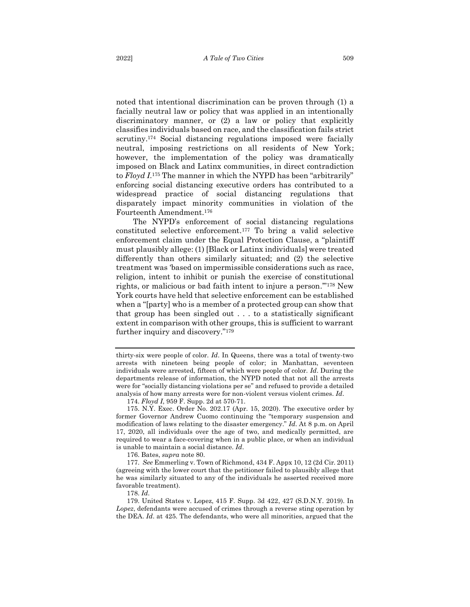noted that intentional discrimination can be proven through (1) a facially neutral law or policy that was applied in an intentionally discriminatory manner, or (2) a law or policy that explicitly classifies individuals based on race, and the classification fails strict scrutiny.<sup>174</sup> Social distancing regulations imposed were facially neutral, imposing restrictions on all residents of New York; however, the implementation of the policy was dramatically imposed on Black and Latinx communities, in direct contradiction to *Floyd I*. <sup>175</sup> The manner in which the NYPD has been "arbitrarily" enforcing social distancing executive orders has contributed to a widespread practice of social distancing regulations that disparately impact minority communities in violation of the Fourteenth Amendment.<sup>176</sup>

The NYPD's enforcement of social distancing regulations constituted selective enforcement.<sup>177</sup> To bring a valid selective enforcement claim under the Equal Protection Clause, a "plaintiff must plausibly allege: (1) [Black or Latinx individuals] were treated differently than others similarly situated; and (2) the selective treatment was 'based on impermissible considerations such as race, religion, intent to inhibit or punish the exercise of constitutional rights, or malicious or bad faith intent to injure a person.'" <sup>178</sup> New York courts have held that selective enforcement can be established when a "[party] who is a member of a protected group can show that that group has been singled out . . . to a statistically significant extent in comparison with other groups, this is sufficient to warrant further inquiry and discovery."<sup>179</sup>

thirty-six were people of color. *Id*. In Queens, there was a total of twenty-two arrests with nineteen being people of color; in Manhattan, seventeen individuals were arrested, fifteen of which were people of color. *Id*. During the departments release of information, the NYPD noted that not all the arrests were for "socially distancing violations per se" and refused to provide a detailed analysis of how many arrests were for non-violent versus violent crimes. *Id*.

<sup>174.</sup> *Floyd I*, 959 F. Supp. 2d at 570-71.

<sup>175.</sup> N.Y. Exec. Order No. 202.17 (Apr. 15, 2020). The executive order by former Governor Andrew Cuomo continuing the "temporary suspension and modification of laws relating to the disaster emergency." *Id*. At 8 p.m. on April 17, 2020, all individuals over the age of two, and medically permitted, are required to wear a face-covering when in a public place, or when an individual is unable to maintain a social distance. *Id*.

<sup>176.</sup> Bates, *supra* note 80.

<sup>177.</sup> *See* Emmerling v. Town of Richmond, 434 F. Appx 10, 12 (2d Cir. 2011) (agreeing with the lower court that the petitioner failed to plausibly allege that he was similarly situated to any of the individuals he asserted received more favorable treatment).

<sup>178.</sup> *Id*.

<sup>179.</sup> United States v. Lopez, 415 F. Supp. 3d 422, 427 (S.D.N.Y. 2019). In *Lopez*, defendants were accused of crimes through a reverse sting operation by the DEA. *Id*. at 425. The defendants, who were all minorities, argued that the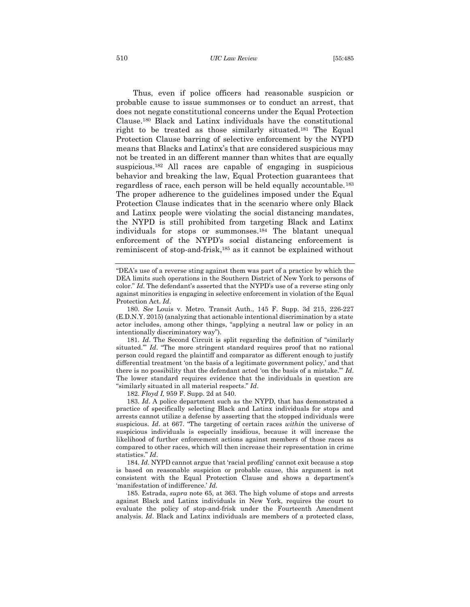#### 510 *UIC Law Review* [55:485

Thus, even if police officers had reasonable suspicion or probable cause to issue summonses or to conduct an arrest, that does not negate constitutional concerns under the Equal Protection Clause.<sup>180</sup> Black and Latinx individuals have the constitutional right to be treated as those similarly situated.<sup>181</sup> The Equal Protection Clause barring of selective enforcement by the NYPD means that Blacks and Latinx's that are considered suspicious may not be treated in an different manner than whites that are equally suspicious.<sup>182</sup> All races are capable of engaging in suspicious behavior and breaking the law, Equal Protection guarantees that regardless of race, each person will be held equally accountable.<sup>183</sup> The proper adherence to the guidelines imposed under the Equal Protection Clause indicates that in the scenario where only Black and Latinx people were violating the social distancing mandates, the NYPD is still prohibited from targeting Black and Latinx individuals for stops or summonses.<sup>184</sup> The blatant unequal enforcement of the NYPD's social distancing enforcement is reminiscent of stop-and-frisk, <sup>185</sup> as it cannot be explained without

182. *Floyd I,* 959 F. Supp. 2d at 540.

183. *Id*. A police department such as the NYPD, that has demonstrated a practice of specifically selecting Black and Latinx individuals for stops and arrests cannot utilize a defense by asserting that the stopped individuals were suspicious. *Id*. at 667. "The targeting of certain races *within* the universe of suspicious individuals is especially insidious, because it will increase the likelihood of further enforcement actions against members of those races as compared to other races, which will then increase their representation in crime statistics." *Id*.

184. *Id*. NYPD cannot argue that 'racial profiling' cannot exit because a stop is based on reasonable suspicion or probable cause, this argument is not consistent with the Equal Protection Clause and shows a department's 'manifestation of indifference.' *Id*.

185. Estrada, *supra* note 65, at 363. The high volume of stops and arrests against Black and Latinx individuals in New York, requires the court to evaluate the policy of stop-and-frisk under the Fourteenth Amendment analysis. *Id*. Black and Latinx individuals are members of a protected class,

<sup>&</sup>quot;DEA's use of a reverse sting against them was part of a practice by which the DEA limits such operations in the Southern District of New York to persons of color." *Id.* The defendant's asserted that the NYPD's use of a reverse sting only against minorities is engaging in selective enforcement in violation of the Equal Protection Act. *Id*.

<sup>180.</sup> *See* Louis v. Metro. Transit Auth., 145 F. Supp. 3d 215, 226-227 (E.D.N.Y. 2015) (analyzing that actionable intentional discrimination by a state actor includes, among other things, "applying a neutral law or policy in an intentionally discriminatory way").

<sup>181.</sup> *Id*. The Second Circuit is split regarding the definition of "similarly situated.'" *Id*. "The more stringent standard requires proof that no rational person could regard the plaintiff and comparator as different enough to justify differential treatment 'on the basis of a legitimate government policy,' and that there is no possibility that the defendant acted 'on the basis of a mistake.'" *Id*. The lower standard requires evidence that the individuals in question are "similarly situated in all material respects." *Id*.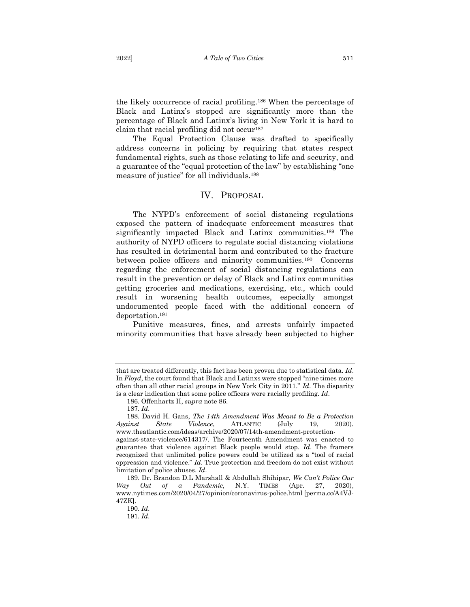the likely occurrence of racial profiling.<sup>186</sup> When the percentage of Black and Latinx's stopped are significantly more than the percentage of Black and Latinx's living in New York it is hard to claim that racial profiling did not occur 187

The Equal Protection Clause was drafted to specifically address concerns in policing by requiring that states respect fundamental rights, such as those relating to life and security, and a guarantee of the "equal protection of the law" by establishing "one measure of justice" for all individuals.<sup>188</sup>

#### IV. PROPOSAL

<span id="page-27-0"></span>The NYPD's enforcement of social distancing regulations exposed the pattern of inadequate enforcement measures that significantly impacted Black and Latinx communities.<sup>189</sup> The authority of NYPD officers to regulate social distancing violations has resulted in detrimental harm and contributed to the fracture between police officers and minority communities.<sup>190</sup> Concerns regarding the enforcement of social distancing regulations can result in the prevention or delay of Black and Latinx communities getting groceries and medications, exercising, etc., which could result in worsening health outcomes, especially amongst undocumented people faced with the additional concern of deportation.<sup>191</sup>

Punitive measures, fines, and arrests unfairly impacted minority communities that have already been subjected to higher

that are treated differently, this fact has been proven due to statistical data. *Id*. In *Floyd*, the court found that Black and Latinxs were stopped "nine times more often than all other racial groups in New York City in 2011." *Id*. The disparity is a clear indication that some police officers were racially profiling. *Id*.

<sup>186.</sup> Offenhartz II, *supra* note 86.

<sup>187.</sup> *Id*.

<sup>188.</sup> David H. Gans, *The 14th Amendment Was Meant to Be a Protection Against State Violence*, ATLANTIC (July 19, 2020). www.theatlantic.com/ideas/archive/2020/07/14th-amendment-protection-

against-state-violence/614317/. The Fourteenth Amendment was enacted to guarantee that violence against Black people would stop. *Id*. The framers recognized that unlimited police powers could be utilized as a "tool of racial oppression and violence." *Id*. True protection and freedom do not exist without limitation of police abuses. *Id*.

<sup>189.</sup> Dr. Brandon D.L Marshall & Abdullah Shihipar, *We Can't Police Our Way Out of a Pandemic*, N.Y. TIMES (Apr. 27, 2020), www.nytimes.com/2020/04/27/opinion/coronavirus-police.html [perma.cc/A4VJ-47ZK].

<sup>190.</sup> *Id*.

<sup>191.</sup> *Id*.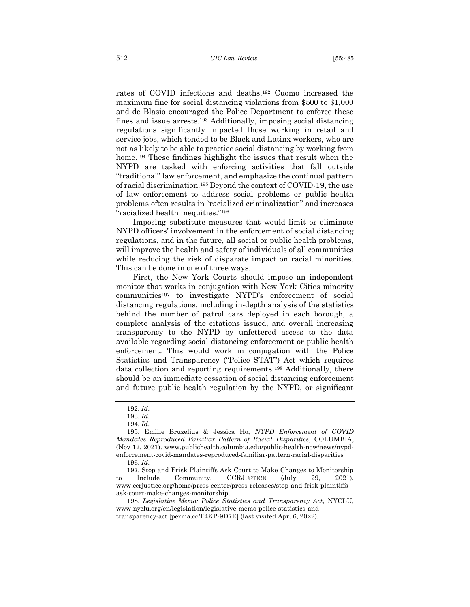rates of COVID infections and deaths.<sup>192</sup> Cuomo increased the maximum fine for social distancing violations from \$500 to \$1,000 and de Blasio encouraged the Police Department to enforce these fines and issue arrests.<sup>193</sup> Additionally, imposing social distancing regulations significantly impacted those working in retail and service jobs, which tended to be Black and Latinx workers, who are not as likely to be able to practice social distancing by working from home.<sup>194</sup> These findings highlight the issues that result when the NYPD are tasked with enforcing activities that fall outside "traditional" law enforcement, and emphasize the continual pattern of racial discrimination.<sup>195</sup> Beyond the context of COVID-19, the use of law enforcement to address social problems or public health problems often results in "racialized criminalization" and increases "racialized health inequities."<sup>196</sup>

Imposing substitute measures that would limit or eliminate NYPD officers' involvement in the enforcement of social distancing regulations, and in the future, all social or public health problems, will improve the health and safety of individuals of all communities while reducing the risk of disparate impact on racial minorities. This can be done in one of three ways.

First, the New York Courts should impose an independent monitor that works in conjugation with New York Cities minority communities<sup>197</sup> to investigate NYPD's enforcement of social distancing regulations, including in-depth analysis of the statistics behind the number of patrol cars deployed in each borough, a complete analysis of the citations issued, and overall increasing transparency to the NYPD by unfettered access to the data available regarding social distancing enforcement or public health enforcement. This would work in conjugation with the Police Statistics and Transparency ("Police STAT") Act which requires data collection and reporting requirements.<sup>198</sup> Additionally, there should be an immediate cessation of social distancing enforcement and future public health regulation by the NYPD, or significant

<sup>192.</sup> *Id*.

<sup>193.</sup> *Id*.

<sup>194.</sup> *Id*.

<sup>195.</sup> Emilie Bruzelius & Jessica Ho, *NYPD Enforcement of COVID Mandates Reproduced Familiar Pattern of Racial Disparities*, COLUMBIA, (Nov 12, 2021). www.publichealth.columbia.edu/public-health-now/news/nypdenforcement-covid-mandates-reproduced-familiar-pattern-racial-disparities 196. *Id*.

<sup>197.</sup> Stop and Frisk Plaintiffs Ask Court to Make Changes to Monitorship to Include Community, CCRJUSTICE (July 29, 2021). www.ccrjustice.org/home/press-center/press-releases/stop-and-frisk-plaintiffsask-court-make-changes-monitorship.

<sup>198.</sup> *Legislative Memo: Police Statistics and Transparency Act*, NYCLU, www.nyclu.org/en/legislation/legislative-memo-police-statistics-andtransparency-act [perma.cc/F4KP-9D7E] (last visited Apr. 6, 2022).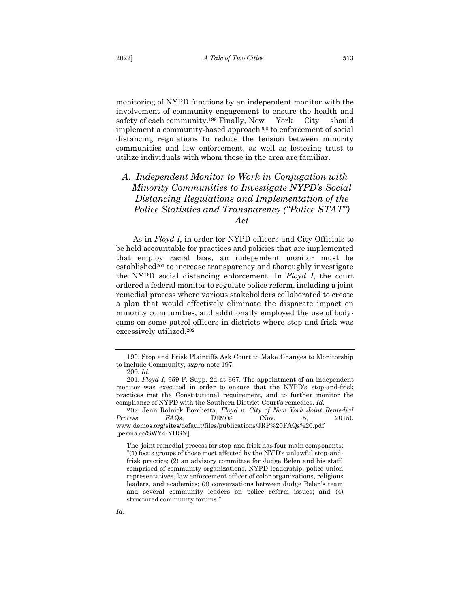monitoring of NYPD functions by an independent monitor with the involvement of community engagement to ensure the health and safety of each community.<sup>199</sup> Finally, New York City should implement a community-based approach<sup>200</sup> to enforcement of social distancing regulations to reduce the tension between minority communities and law enforcement, as well as fostering trust to utilize individuals with whom those in the area are familiar.

# <span id="page-29-0"></span>*A. Independent Monitor to Work in Conjugation with Minority Communities to Investigate NYPD's Social Distancing Regulations and Implementation of the Police Statistics and Transparency ("Police STAT") Act*

As in *Floyd I*, in order for NYPD officers and City Officials to be held accountable for practices and policies that are implemented that employ racial bias, an independent monitor must be established<sup>201</sup> to increase transparency and thoroughly investigate the NYPD social distancing enforcement. In *Floyd I*, the court ordered a federal monitor to regulate police reform, including a joint remedial process where various stakeholders collaborated to create a plan that would effectively eliminate the disparate impact on minority communities, and additionally employed the use of bodycams on some patrol officers in districts where stop-and-frisk was excessively utilized.<sup>202</sup>

202. Jenn Rolnick Borchetta, *Floyd v. City of New York Joint Remedial Process FAQs*, DEMOS (Nov. 5, 2015). www.demos.org/sites/default/files/publications/JRP%20FAQs%20.pdf [perma.cc/SWY4-YHSN].

<sup>199.</sup> Stop and Frisk Plaintiffs Ask Court to Make Changes to Monitorship to Include Community, *supra* note 197.

<sup>200.</sup> *Id*.

<sup>201.</sup> *Floyd I*, 959 F. Supp. 2d at 667. The appointment of an independent monitor was executed in order to ensure that the NYPD's stop-and-frisk practices met the Constitutional requirement, and to further monitor the compliance of NYPD with the Southern District Court's remedies. *Id.*

The joint remedial process for stop-and frisk has four main components: "(1) focus groups of those most affected by the NY'D's unlawful stop-andfrisk practice; (2) an advisory committee for Judge Belen and his staff, comprised of community organizations, NYPD leadership, police union representatives, law enforcement officer of color organizations, religious leaders, and academics; (3) conversations between Judge Belen's team and several community leaders on police reform issues; and (4) structured community forums."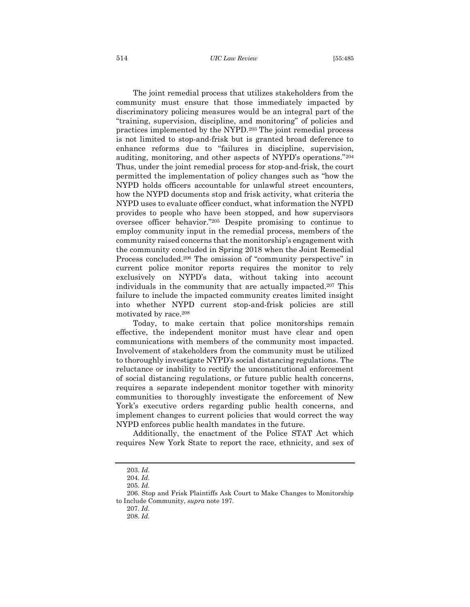514 *UIC Law Review* [55:485

The joint remedial process that utilizes stakeholders from the community must ensure that those immediately impacted by discriminatory policing measures would be an integral part of the "training, supervision, discipline, and monitoring" of policies and practices implemented by the NYPD.<sup>203</sup> The joint remedial process is not limited to stop-and-frisk but is granted broad deference to enhance reforms due to "failures in discipline, supervision, auditing, monitoring, and other aspects of NYPD's operations."<sup>204</sup> Thus, under the joint remedial process for stop-and-frisk, the court permitted the implementation of policy changes such as "how the NYPD holds officers accountable for unlawful street encounters, how the NYPD documents stop and frisk activity, what criteria the NYPD uses to evaluate officer conduct, what information the NYPD provides to people who have been stopped, and how supervisors oversee officer behavior."<sup>205</sup> Despite promising to continue to employ community input in the remedial process, members of the community raised concerns that the monitorship's engagement with the community concluded in Spring 2018 when the Joint Remedial Process concluded.<sup>206</sup> The omission of "community perspective" in current police monitor reports requires the monitor to rely exclusively on NYPD's data, without taking into account individuals in the community that are actually impacted.<sup>207</sup> This failure to include the impacted community creates limited insight into whether NYPD current stop-and-frisk policies are still motivated by race.<sup>208</sup>

Today, to make certain that police monitorships remain effective, the independent monitor must have clear and open communications with members of the community most impacted. Involvement of stakeholders from the community must be utilized to thoroughly investigate NYPD's social distancing regulations. The reluctance or inability to rectify the unconstitutional enforcement of social distancing regulations, or future public health concerns, requires a separate independent monitor together with minority communities to thoroughly investigate the enforcement of New York's executive orders regarding public health concerns, and implement changes to current policies that would correct the way NYPD enforces public health mandates in the future.

Additionally, the enactment of the Police STAT Act which requires New York State to report the race, ethnicity, and sex of

<sup>203.</sup> *Id*.

<sup>204.</sup> *Id*.

<sup>205.</sup> *Id*.

<sup>206.</sup> Stop and Frisk Plaintiffs Ask Court to Make Changes to Monitorship to Include Community, *supra* note 197.

<sup>207.</sup> *Id*.

<sup>208.</sup> *Id*.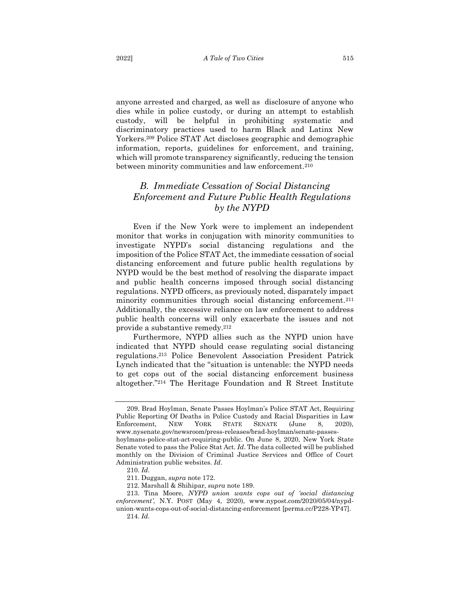anyone arrested and charged, as well as disclosure of anyone who dies while in police custody, or during an attempt to establish custody, will be helpful in prohibiting systematic and discriminatory practices used to harm Black and Latinx New Yorkers.<sup>209</sup> Police STAT Act discloses geographic and demographic information, reports, guidelines for enforcement, and training, which will promote transparency significantly, reducing the tension between minority communities and law enforcement.<sup>210</sup>

# <span id="page-31-0"></span>*B. Immediate Cessation of Social Distancing Enforcement and Future Public Health Regulations by the NYPD*

Even if the New York were to implement an independent monitor that works in conjugation with minority communities to investigate NYPD's social distancing regulations and the imposition of the Police STAT Act, the immediate cessation of social distancing enforcement and future public health regulations by NYPD would be the best method of resolving the disparate impact and public health concerns imposed through social distancing regulations. NYPD officers, as previously noted, disparately impact minority communities through social distancing enforcement.<sup>211</sup> Additionally, the excessive reliance on law enforcement to address public health concerns will only exacerbate the issues and not provide a substantive remedy.<sup>212</sup>

Furthermore, NYPD allies such as the NYPD union have indicated that NYPD should cease regulating social distancing regulations. <sup>213</sup> Police Benevolent Association President Patrick Lynch indicated that the "situation is untenable: the NYPD needs to get cops out of the social distancing enforcement business altogether."<sup>214</sup> The Heritage Foundation and R Street Institute

<sup>209.</sup> Brad Hoylman, Senate Passes Hoylman's Police STAT Act, Requiring Public Reporting Of Deaths in Police Custody and Racial Disparities in Law Enforcement, NEW YORK STATE SENATE (June 8, 2020), www.nysenate.gov/newsroom/press-releases/brad-hoylman/senate-passeshoylmans-police-stat-act-requiring-public. On June 8, 2020, New York State Senate voted to pass the Police Stat Act. *Id*. The data collected will be published monthly on the Division of Criminal Justice Services and Office of Court Administration public websites. *Id*.

<sup>210.</sup> *Id*.

<sup>211.</sup> Duggan, *supra* note 172.

<sup>212.</sup> Marshall & Shihipar, *supra* note 189.

<sup>213.</sup> Tina Moore, *NYPD union wants cops out of 'social distancing enforcement'*, N.Y. POST (May 4, 2020), www.nypost.com/2020/05/04/nypdunion-wants-cops-out-of-social-distancing-enforcement [perma.cc/P228-YP47]. 214. *Id*.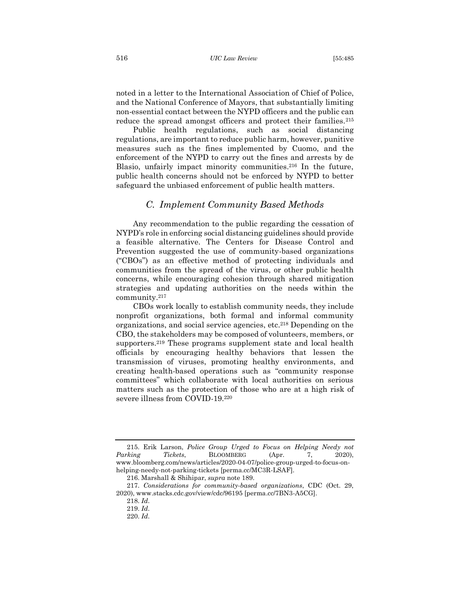noted in a letter to the International Association of Chief of Police, and the National Conference of Mayors, that substantially limiting non-essential contact between the NYPD officers and the public can reduce the spread amongst officers and protect their families.<sup>215</sup>

Public health regulations, such as social distancing regulations, are important to reduce public harm, however, punitive measures such as the fines implemented by Cuomo, and the enforcement of the NYPD to carry out the fines and arrests by de Blasio, unfairly impact minority communities.<sup>216</sup> In the future, public health concerns should not be enforced by NYPD to better safeguard the unbiased enforcement of public health matters.

#### *C. Implement Community Based Methods*

<span id="page-32-0"></span>Any recommendation to the public regarding the cessation of NYPD's role in enforcing social distancing guidelines should provide a feasible alternative. The Centers for Disease Control and Prevention suggested the use of community-based organizations ("CBOs") as an effective method of protecting individuals and communities from the spread of the virus, or other public health concerns, while encouraging cohesion through shared mitigation strategies and updating authorities on the needs within the community.<sup>217</sup>

CBOs work locally to establish community needs, they include nonprofit organizations, both formal and informal community organizations, and social service agencies, etc.<sup>218</sup> Depending on the CBO, the stakeholders may be composed of volunteers, members, or supporters.<sup>219</sup> These programs supplement state and local health officials by encouraging healthy behaviors that lessen the transmission of viruses, promoting healthy environments, and creating health-based operations such as "community response committees" which collaborate with local authorities on serious matters such as the protection of those who are at a high risk of severe illness from COVID-19.<sup>220</sup>

<sup>215.</sup> Erik Larson, *Police Group Urged to Focus on Helping Needy not*  Parking Tickets, BLOOMBERG (Apr. 7, 2020), www.bloomberg.com/news/articles/2020-04-07/police-group-urged-to-focus-onhelping-needy-not-parking-tickets [perma.cc/MC3R-LSAF].

<sup>216.</sup> Marshall & Shihipar, *supra* note 189.

<sup>217.</sup> *Considerations for community-based organizations*, CDC (Oct. 29, 2020), www.stacks.cdc.gov/view/cdc/96195 [perma.cc/7BN3-A5CG].

<sup>218.</sup> *Id*.

<sup>219.</sup> *Id*.

<sup>220.</sup> *Id*.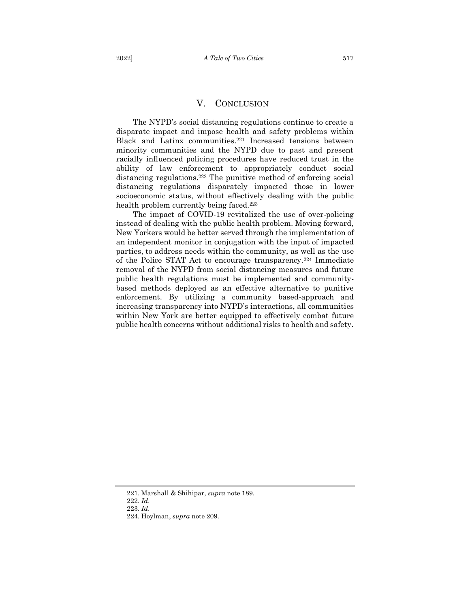<span id="page-33-0"></span>The NYPD's social distancing regulations continue to create a disparate impact and impose health and safety problems within Black and Latinx communities.<sup>221</sup> Increased tensions between minority communities and the NYPD due to past and present racially influenced policing procedures have reduced trust in the ability of law enforcement to appropriately conduct social distancing regulations.<sup>222</sup> The punitive method of enforcing social distancing regulations disparately impacted those in lower socioeconomic status, without effectively dealing with the public health problem currently being faced.<sup>223</sup>

The impact of COVID-19 revitalized the use of over-policing instead of dealing with the public health problem. Moving forward, New Yorkers would be better served through the implementation of an independent monitor in conjugation with the input of impacted parties, to address needs within the community, as well as the use of the Police STAT Act to encourage transparency.<sup>224</sup> Immediate removal of the NYPD from social distancing measures and future public health regulations must be implemented and communitybased methods deployed as an effective alternative to punitive enforcement. By utilizing a community based-approach and increasing transparency into NYPD's interactions, all communities within New York are better equipped to effectively combat future public health concerns without additional risks to health and safety.

<sup>221.</sup> Marshall & Shihipar, *supra* note 189.

<sup>222.</sup> *Id*.

<sup>223.</sup> *Id*.

<sup>224.</sup> Hoylman, *supra* note 209.